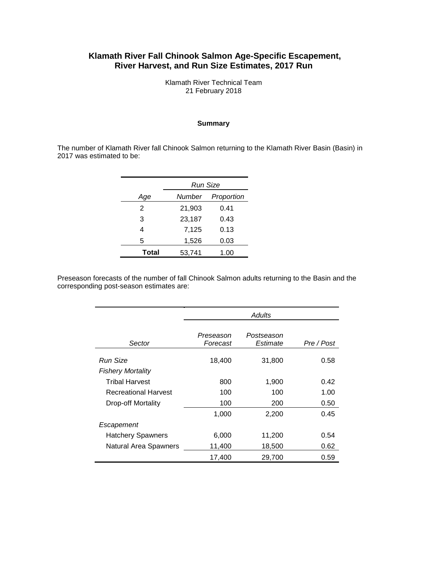# **Klamath River Fall Chinook Salmon Age-Specific Escapement, River Harvest, and Run Size Estimates, 2017 Run**

Klamath River Technical Team 21 February 2018

#### **Summary**

The number of Klamath River fall Chinook Salmon returning to the Klamath River Basin (Basin) in 2017 was estimated to be:

|       | Run Size |            |  |  |  |
|-------|----------|------------|--|--|--|
| Age   | Number   | Proportion |  |  |  |
| 2     | 21,903   | 0.41       |  |  |  |
| 3     | 23,187   | 0.43       |  |  |  |
| 4     | 7,125    | 0.13       |  |  |  |
| 5     | 1,526    | 0.03       |  |  |  |
| Total | 53,741   | 1.00       |  |  |  |

Preseason forecasts of the number of fall Chinook Salmon adults returning to the Basin and the corresponding post-season estimates are:

|                           | Adults                |                        |            |  |  |  |
|---------------------------|-----------------------|------------------------|------------|--|--|--|
| Sector                    | Preseason<br>Forecast | Postseason<br>Estimate | Pre / Post |  |  |  |
| Run Size                  | 18,400                | 31,800                 | 0.58       |  |  |  |
| <b>Fishery Mortality</b>  |                       |                        |            |  |  |  |
| <b>Tribal Harvest</b>     | 800                   | 1,900                  | 0.42       |  |  |  |
| Recreational Harvest      | 100                   | 100                    | 1.00       |  |  |  |
| <b>Drop-off Mortality</b> | 100                   | 200                    | 0.50       |  |  |  |
|                           | 1,000                 | 2,200                  | 0.45       |  |  |  |
| Escapement                |                       |                        |            |  |  |  |
| <b>Hatchery Spawners</b>  | 6,000                 | 11,200                 | 0.54       |  |  |  |
| Natural Area Spawners     | 11,400                | 18,500                 | 0.62       |  |  |  |
|                           | 17,400                | 29,700                 | 0.59       |  |  |  |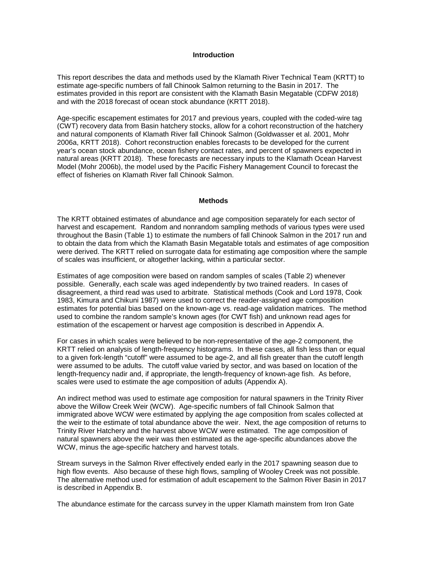#### **Introduction**

This report describes the data and methods used by the Klamath River Technical Team (KRTT) to estimate age-specific numbers of fall Chinook Salmon returning to the Basin in 2017. The estimates provided in this report are consistent with the Klamath Basin Megatable (CDFW 2018) and with the 2018 forecast of ocean stock abundance (KRTT 2018).

Age-specific escapement estimates for 2017 and previous years, coupled with the coded-wire tag (CWT) recovery data from Basin hatchery stocks, allow for a cohort reconstruction of the hatchery and natural components of Klamath River fall Chinook Salmon (Goldwasser et al. 2001, Mohr 2006a, KRTT 2018). Cohort reconstruction enables forecasts to be developed for the current year's ocean stock abundance, ocean fishery contact rates, and percent of spawners expected in natural areas (KRTT 2018). These forecasts are necessary inputs to the Klamath Ocean Harvest Model (Mohr 2006b), the model used by the Pacific Fishery Management Council to forecast the effect of fisheries on Klamath River fall Chinook Salmon.

#### **Methods**

The KRTT obtained estimates of abundance and age composition separately for each sector of harvest and escapement. Random and nonrandom sampling methods of various types were used throughout the Basin (Table 1) to estimate the numbers of fall Chinook Salmon in the 2017 run and to obtain the data from which the Klamath Basin Megatable totals and estimates of age composition were derived. The KRTT relied on surrogate data for estimating age composition where the sample of scales was insufficient, or altogether lacking, within a particular sector.

Estimates of age composition were based on random samples of scales (Table 2) whenever possible. Generally, each scale was aged independently by two trained readers. In cases of disagreement, a third read was used to arbitrate. Statistical methods (Cook and Lord 1978, Cook 1983, Kimura and Chikuni 1987) were used to correct the reader-assigned age composition estimates for potential bias based on the known-age vs. read-age validation matrices. The method used to combine the random sample's known ages (for CWT fish) and unknown read ages for estimation of the escapement or harvest age composition is described in Appendix A.

For cases in which scales were believed to be non-representative of the age-2 component, the KRTT relied on analysis of length-frequency histograms. In these cases, all fish less than or equal to a given fork-length "cutoff" were assumed to be age-2, and all fish greater than the cutoff length were assumed to be adults. The cutoff value varied by sector, and was based on location of the length-frequency nadir and, if appropriate, the length-frequency of known-age fish. As before, scales were used to estimate the age composition of adults (Appendix A).

An indirect method was used to estimate age composition for natural spawners in the Trinity River above the Willow Creek Weir (WCW). Age-specific numbers of fall Chinook Salmon that immigrated above WCW were estimated by applying the age composition from scales collected at the weir to the estimate of total abundance above the weir. Next, the age composition of returns to Trinity River Hatchery and the harvest above WCW were estimated. The age composition of natural spawners above the weir was then estimated as the age-specific abundances above the WCW, minus the age-specific hatchery and harvest totals.

Stream surveys in the Salmon River effectively ended early in the 2017 spawning season due to high flow events. Also because of these high flows, sampling of Wooley Creek was not possible. The alternative method used for estimation of adult escapement to the Salmon River Basin in 2017 is described in Appendix B.

The abundance estimate for the carcass survey in the upper Klamath mainstem from Iron Gate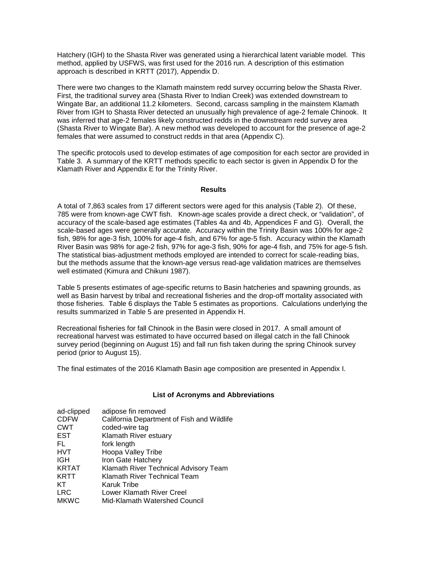Hatchery (IGH) to the Shasta River was generated using a hierarchical latent variable model. This method, applied by USFWS, was first used for the 2016 run. A description of this estimation approach is described in KRTT (2017), Appendix D.

There were two changes to the Klamath mainstem redd survey occurring below the Shasta River. First, the traditional survey area (Shasta River to Indian Creek) was extended downstream to Wingate Bar, an additional 11.2 kilometers. Second, carcass sampling in the mainstem Klamath River from IGH to Shasta River detected an unusually high prevalence of age-2 female Chinook. It was inferred that age-2 females likely constructed redds in the downstream redd survey area (Shasta River to Wingate Bar). A new method was developed to account for the presence of age-2 females that were assumed to construct redds in that area (Appendix C).

The specific protocols used to develop estimates of age composition for each sector are provided in Table 3. A summary of the KRTT methods specific to each sector is given in Appendix D for the Klamath River and Appendix E for the Trinity River.

#### **Results**

A total of 7,863 scales from 17 different sectors were aged for this analysis (Table 2). Of these, 785 were from known-age CWT fish. Known-age scales provide a direct check, or "validation", of accuracy of the scale-based age estimates (Tables 4a and 4b, Appendices F and G). Overall, the scale-based ages were generally accurate. Accuracy within the Trinity Basin was 100% for age-2 fish, 98% for age-3 fish, 100% for age-4 fish, and 67% for age-5 fish. Accuracy within the Klamath River Basin was 98% for age-2 fish, 97% for age-3 fish, 90% for age-4 fish, and 75% for age-5 fish. The statistical bias-adjustment methods employed are intended to correct for scale-reading bias, but the methods assume that the known-age versus read-age validation matrices are themselves well estimated (Kimura and Chikuni 1987).

Table 5 presents estimates of age-specific returns to Basin hatcheries and spawning grounds, as well as Basin harvest by tribal and recreational fisheries and the drop-off mortality associated with those fisheries. Table 6 displays the Table 5 estimates as proportions. Calculations underlying the results summarized in Table 5 are presented in Appendix H.

Recreational fisheries for fall Chinook in the Basin were closed in 2017. A small amount of recreational harvest was estimated to have occurred based on illegal catch in the fall Chinook survey period (beginning on August 15) and fall run fish taken during the spring Chinook survey period (prior to August 15).

The final estimates of the 2016 Klamath Basin age composition are presented in Appendix I.

#### **List of Acronyms and Abbreviations**

| ad-clipped   | adipose fin removed                        |
|--------------|--------------------------------------------|
| <b>CDFW</b>  | California Department of Fish and Wildlife |
| <b>CWT</b>   | coded-wire tag                             |
| EST          | Klamath River estuary                      |
| FL           | fork length                                |
| HVT          | Hoopa Valley Tribe                         |
| IGH          | Iron Gate Hatchery                         |
| <b>KRTAT</b> | Klamath River Technical Advisory Team      |
| KRTT         | Klamath River Technical Team               |
| KТ           | Karuk Tribe                                |
| LRC          | Lower Klamath River Creel                  |
| <b>MKWC</b>  | Mid-Klamath Watershed Council              |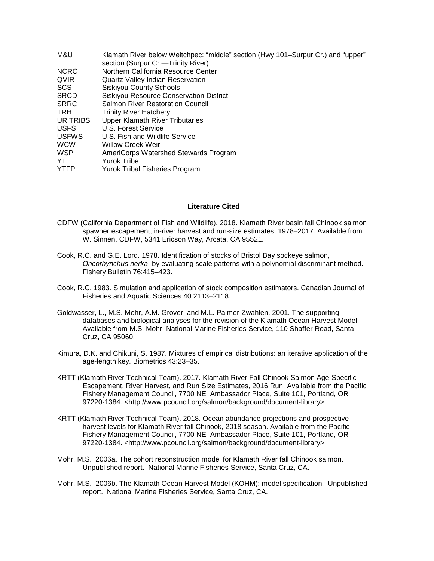| M&U          | Klamath River below Weitchpec: "middle" section (Hwy 101–Surpur Cr.) and "upper" |
|--------------|----------------------------------------------------------------------------------|
|              | section (Surpur Cr.—Trinity River)                                               |
| <b>NCRC</b>  | Northern California Resource Center                                              |
| <b>QVIR</b>  | Quartz Valley Indian Reservation                                                 |
| <b>SCS</b>   | <b>Siskiyou County Schools</b>                                                   |
| <b>SRCD</b>  | <b>Siskiyou Resource Conservation District</b>                                   |
| <b>SRRC</b>  | <b>Salmon River Restoration Council</b>                                          |
| <b>TRH</b>   | <b>Trinity River Hatchery</b>                                                    |
| UR TRIBS     | Upper Klamath River Tributaries                                                  |
| <b>USFS</b>  | U.S. Forest Service                                                              |
| <b>USFWS</b> | U.S. Fish and Wildlife Service                                                   |
| <b>WCW</b>   | <b>Willow Creek Weir</b>                                                         |
| <b>WSP</b>   | AmeriCorps Watershed Stewards Program                                            |
| YT           | <b>Yurok Tribe</b>                                                               |
| <b>YTFP</b>  | <b>Yurok Tribal Fisheries Program</b>                                            |

#### **Literature Cited**

- CDFW (California Department of Fish and Wildlife). 2018. Klamath River basin fall Chinook salmon spawner escapement, in-river harvest and run-size estimates, 1978–2017. Available from W. Sinnen, CDFW, 5341 Ericson Way, Arcata, CA 95521.
- Cook, R.C. and G.E. Lord. 1978. Identification of stocks of Bristol Bay sockeye salmon, *Oncorhynchus nerka*, by evaluating scale patterns with a polynomial discriminant method. Fishery Bulletin 76:415–423.
- Cook, R.C. 1983. Simulation and application of stock composition estimators. Canadian Journal of Fisheries and Aquatic Sciences 40:2113–2118.
- Goldwasser, L., M.S. Mohr, A.M. Grover, and M.L. Palmer-Zwahlen. 2001. The supporting databases and biological analyses for the revision of the Klamath Ocean Harvest Model. Available from M.S. Mohr, National Marine Fisheries Service, 110 Shaffer Road, Santa Cruz, CA 95060.
- Kimura, D.K. and Chikuni, S. 1987. Mixtures of empirical distributions: an iterative application of the age-length key. Biometrics 43:23–35.
- KRTT (Klamath River Technical Team). 2017. Klamath River Fall Chinook Salmon Age-Specific Escapement, River Harvest, and Run Size Estimates, 2016 Run. Available from the Pacific Fishery Management Council, 7700 NE Ambassador Place, Suite 101, Portland, OR 97220-1384. <http://www.pcouncil.org/salmon/background/document-library>
- KRTT (Klamath River Technical Team). 2018. Ocean abundance projections and prospective harvest levels for Klamath River fall Chinook, 2018 season. Available from the Pacific Fishery Management Council, 7700 NE Ambassador Place, Suite 101, Portland, OR 97220-1384. <http://www.pcouncil.org/salmon/background/document-library>
- Mohr, M.S. 2006a. The cohort reconstruction model for Klamath River fall Chinook salmon. Unpublished report. National Marine Fisheries Service, Santa Cruz, CA.
- Mohr, M.S. 2006b. The Klamath Ocean Harvest Model (KOHM): model specification. Unpublished report. National Marine Fisheries Service, Santa Cruz, CA.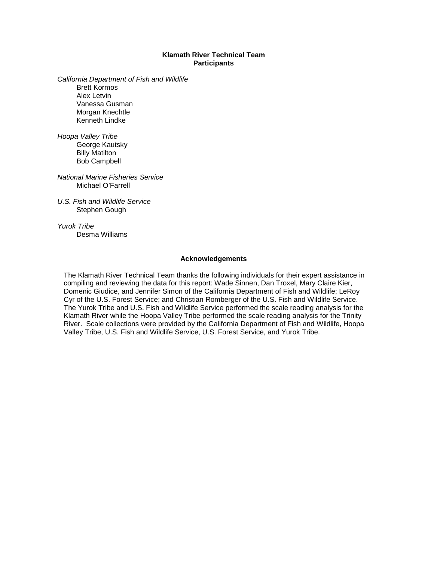#### **Klamath River Technical Team Participants**

*California Department of Fish and Wildlife* Brett Kormos Alex Letvin Vanessa Gusman Morgan Knechtle

*Hoopa Valley Tribe* George Kautsky Billy Matilton Bob Campbell

Kenneth Lindke

*National Marine Fisheries Service* Michael O'Farrell

*U.S. Fish and Wildlife Service* Stephen Gough

*Yurok Tribe* Desma Williams

#### **Acknowledgements**

The Klamath River Technical Team thanks the following individuals for their expert assistance in compiling and reviewing the data for this report: Wade Sinnen, Dan Troxel, Mary Claire Kier, Domenic Giudice, and Jennifer Simon of the California Department of Fish and Wildlife; LeRoy Cyr of the U.S. Forest Service; and Christian Romberger of the U.S. Fish and Wildlife Service. The Yurok Tribe and U.S. Fish and Wildlife Service performed the scale reading analysis for the Klamath River while the Hoopa Valley Tribe performed the scale reading analysis for the Trinity River. Scale collections were provided by the California Department of Fish and Wildlife, Hoopa Valley Tribe, U.S. Fish and Wildlife Service, U.S. Forest Service, and Yurok Tribe.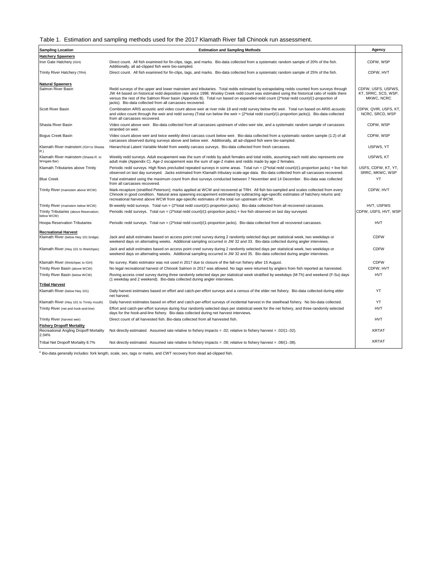Table 1. Estimation and sampling methods used for the 2017 Klamath River fall Chinook run assessment.

| <b>Sampling Location</b>                                                            | <b>Estimation and Sampling Methods</b>                                                                                                                                                                                                                                                                                                                                                                                                                                                    | Agency                                                  |
|-------------------------------------------------------------------------------------|-------------------------------------------------------------------------------------------------------------------------------------------------------------------------------------------------------------------------------------------------------------------------------------------------------------------------------------------------------------------------------------------------------------------------------------------------------------------------------------------|---------------------------------------------------------|
| <b>Hatchery Spawners</b>                                                            |                                                                                                                                                                                                                                                                                                                                                                                                                                                                                           |                                                         |
| Iron Gate Hatchery (IGH)                                                            | Direct count. All fish examined for fin-clips, tags, and marks. Bio-data collected from a systematic random sample of 20% of the fish.<br>Additionally, all ad-clipped fish were bio-sampled.                                                                                                                                                                                                                                                                                             | CDFW, WSP                                               |
| Trinity River Hatchery (TRH)                                                        | Direct count. All fish examined for fin-clips, tags, and marks. Bio-data collected from a systematic random sample of 25% of the fish.                                                                                                                                                                                                                                                                                                                                                    | CDFW, HVT                                               |
| <b>Natural Spawners</b><br>Salmon River Basin                                       | Redd surveys of the upper and lower mainstem and tributaries. Total redds estimated by extrapolating redds counted from surveys through<br>JW 44 based on historical redd deposition rate since 1998. Wooley Creek redd count was estimated using the historical ratio of redds there<br>versus the rest of the Salmon River basin (Appendix B). Total run based on expanded redd count (2*total redd count)/(1-proportion of<br>jacks). Bio-data collected from all carcasses recovered. | CDFW, USFS, USFWS,<br>KT, SRRC, SCS, WSP,<br>MKWC, NCRC |
| Scott River Basin                                                                   | Combination ARIS acoustic and video count above weir at river mile 18 and redd survey below the weir. Total run based on ARIS acoustic<br>and video count through the weir and redd survey (Total run below the weir = (2*total redd count)/(1-proportion jacks)). Bio-data collected<br>from all carcasses recovered.                                                                                                                                                                    | CDFW, QVIR, USFS, KT,<br>NCRC, SRCD, WSP                |
| Shasta River Basin                                                                  | Video count above weir. Bio-data collected from all carcasses upstream of video weir site, and a systematic random sample of carcasses<br>stranded on weir.                                                                                                                                                                                                                                                                                                                               | CDFW, WSP                                               |
| Bogus Creek Basin                                                                   | Video count above weir and twice weekly direct carcass count below weir. Bio-data collected from a systematic random sample (1:2) of all<br>carcasses observed during surveys above and below weir. Additionally, all ad-clipped fish were bio-sampled.                                                                                                                                                                                                                                   | CDFW, WSP                                               |
| Klamath River mainstem (IGH to Shasta<br>R.)                                        | Hierarchical Latent Variable Model from weekly carcass surveys. Bio-data collected from fresh carcasses.                                                                                                                                                                                                                                                                                                                                                                                  | USFWS, YT                                               |
| Klamath River mainstem (Shasta R. to<br>Wingate Bar)                                | Weekly redd surveys. Adult escapement was the sum of redds by adult females and total redds, assuming each redd also represents one<br>adult male (Appendix C). Age-2 escapement was the sum of age-2 males and redds made by age-2 females.                                                                                                                                                                                                                                              | USFWS, KT                                               |
| Klamath Tributaries above Trinity                                                   | Periodic redd surveys. High flows precluded repeated surveys in some areas. Total run = (2*total redd count)/(1-proportion jacks) + live fish<br>observed on last day surveyed. Jacks estimated from Klamath tributary scale-age data. Bio-data collected from all carcasses recovered.                                                                                                                                                                                                   | USFS, CDFW, KT, YT,<br>SRRC, MKWC, WSP                  |
| <b>Blue Creek</b>                                                                   | Total estimated using the maximum count from dive surveys conducted between 7 November and 14 December. Bio-data was collected<br>from all carcasses recovered.                                                                                                                                                                                                                                                                                                                           | YT                                                      |
| Trinity River (mainstem above WCW)                                                  | Mark-recapture (stratified Peterson); marks applied at WCW and recovered at TRH. All fish bio-sampled and scales collected from every<br>Chinook in good condition. Natural area spawning escapement estimated by subtracting age-specific estimates of hatchery returns and<br>recreational harvest above WCW from age-specific estimates of the total run upstream of WCW.                                                                                                              | CDFW. HVT                                               |
| Trinity River (mainstem below WCW)                                                  | Bi-weekly redd surveys. Total run = (2*total redd count)/(1-proportion jacks). Bio-data collected from all recovered carcasses.                                                                                                                                                                                                                                                                                                                                                           | HVT, USFWS                                              |
| Trinity Tributaries (above Reservation;<br>below WCW)                               | Periodic redd surveys. Total run = (2*total redd count)/(1-proportion jacks) + live fish observed on last day surveyed.                                                                                                                                                                                                                                                                                                                                                                   | CDFW, USFS, HVT, WSP                                    |
| <b>Hoopa Reservation Tributaries</b>                                                | Periodic redd surveys. Total run = (2*total redd count)/(1-proportion jacks). Bio-data collected from all recovered carcasses.                                                                                                                                                                                                                                                                                                                                                            | <b>HVT</b>                                              |
| <b>Recreational Harvest</b><br>Klamath River (below Hwy 101 bridge)                 | Jack and adult estimates based on access point creel survey during 2 randomly selected days per statistical week, two weekdays or<br>weekend days on alternating weeks. Additional sampling occurred in JW 32 and 33. Bio-data collected during angler interviews.                                                                                                                                                                                                                        | <b>CDFW</b>                                             |
| Klamath River (Hwy 101 to Weitchpec)                                                | Jack and adult estimates based on access point creel survey during 2 randomly selected days per statistical week, two weekdays or<br>weekend days on alternating weeks. Additional sampling occurred in JW 32 and 35. Bio-data collected during angler interviews.                                                                                                                                                                                                                        | <b>CDFW</b>                                             |
| Klamath River (Weitchpec to IGH)                                                    | No survey. Ratio estimator was not used in 2017 due to closure of the fall-run fishery after 15 August.                                                                                                                                                                                                                                                                                                                                                                                   | <b>CDFW</b>                                             |
| Trinity River Basin (above WCW)                                                     | No legal recreational harvest of Chinook Salmon in 2017 was allowed. No tags were returned by anglers from fish reported as harvested.                                                                                                                                                                                                                                                                                                                                                    | CDFW, HVT                                               |
| Trinity River Basin (below WCW)                                                     | Roving access creel survey during three randomly selected days per statistical week stratified by weekdays (M-Th) and weekend (F-Su) days<br>(1 weekday and 2 weekend). Bio-data collected during angler interviews.                                                                                                                                                                                                                                                                      | <b>HVT</b>                                              |
| <b>Tribal Harvest</b>                                                               |                                                                                                                                                                                                                                                                                                                                                                                                                                                                                           |                                                         |
| Klamath River (below Hwy 101)                                                       | Daily harvest estimates based on effort and catch-per-effort surveys and a census of the elder net fishery. Bio-data collected during elder<br>net harvest.                                                                                                                                                                                                                                                                                                                               | YT                                                      |
| Klamath River (Hwy 101 to Trinity mouth)                                            | Daily harvest estimates based on effort and catch-per-effort surveys of incidental harvest in the steelhead fishery. No bio-data collected.                                                                                                                                                                                                                                                                                                                                               | YT                                                      |
| Trinity River (net and hook-and-line)                                               | Effort and catch-per-effort surveys during four randomly selected days per statistical week for the net fishery, and three randomly selected<br>days for the hook-and-line fishery. Bio-data collected during net harvest interviews.                                                                                                                                                                                                                                                     | <b>HVT</b>                                              |
| Trinity River (harvest weir)                                                        | Direct count of all harvested fish. Bio-data collected from all harvested fish.                                                                                                                                                                                                                                                                                                                                                                                                           | <b>HVT</b>                                              |
| <b>Fishery Dropoff Mortality</b><br>Recreational Angling Dropoff Mortality<br>2.04% | Not directly estimated. Assumed rate relative to fishery impacts = .02; relative to fishery harvest = .02/(1-.02).                                                                                                                                                                                                                                                                                                                                                                        | <b>KRTAT</b>                                            |
| Tribal Net Dropoff Mortality 8.7%                                                   | Not directly estimated. Assumed rate relative to fishery impacts = .08; relative to fishery harvest = .08/(1-.08).                                                                                                                                                                                                                                                                                                                                                                        | <b>KRTAT</b>                                            |

 $^{\rm a}$  Bio-data generally includes: fork length, scale, sex, tags or marks, and CWT recovery from dead ad-clipped fish.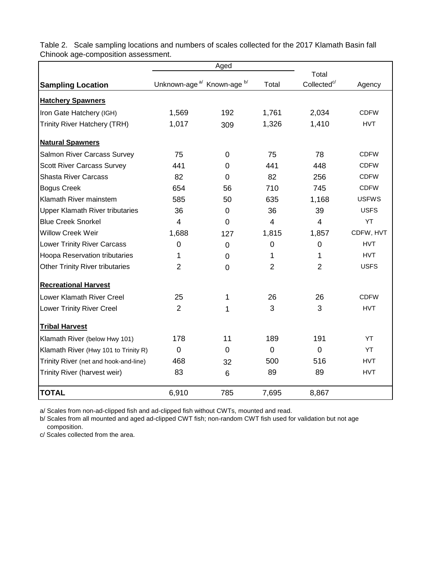|                                        |                                                   | Aged           |                |                                  |              |
|----------------------------------------|---------------------------------------------------|----------------|----------------|----------------------------------|--------------|
|                                        | Unknown-age <sup>a/</sup> Known-age <sup>b/</sup> |                |                | Total<br>Collected <sup>c/</sup> |              |
| <b>Sampling Location</b>               |                                                   |                | Total          |                                  | Agency       |
| <b>Hatchery Spawners</b>               |                                                   |                |                |                                  |              |
| Iron Gate Hatchery (IGH)               | 1,569                                             | 192            | 1,761          | 2,034                            | <b>CDFW</b>  |
| <b>Trinity River Hatchery (TRH)</b>    | 1,017                                             | 309            | 1,326          | 1,410                            | <b>HVT</b>   |
| <b>Natural Spawners</b>                |                                                   |                |                |                                  |              |
| <b>Salmon River Carcass Survey</b>     | 75                                                | $\mathbf 0$    | 75             | 78                               | <b>CDFW</b>  |
| <b>Scott River Carcass Survey</b>      | 441                                               | 0              | 441            | 448                              | <b>CDFW</b>  |
| <b>Shasta River Carcass</b>            | 82                                                | 0              | 82             | 256                              | <b>CDFW</b>  |
| <b>Bogus Creek</b>                     | 654                                               | 56             | 710            | 745                              | <b>CDFW</b>  |
| Klamath River mainstem                 | 585                                               | 50             | 635            | 1,168                            | <b>USFWS</b> |
| <b>Upper Klamath River tributaries</b> | 36                                                | 0              | 36             | 39                               | <b>USFS</b>  |
| <b>Blue Creek Snorkel</b>              | 4                                                 | 0              | $\overline{4}$ | $\overline{4}$                   | YT           |
| <b>Willow Creek Weir</b>               | 1,688                                             | 127            | 1,815          | 1,857                            | CDFW, HVT    |
| <b>Lower Trinity River Carcass</b>     | $\overline{0}$                                    | 0              | $\mathbf 0$    | $\mathbf 0$                      | <b>HVT</b>   |
| <b>Hoopa Reservation tributaries</b>   | 1                                                 | 0              | 1              | 1                                | <b>HVT</b>   |
| <b>Other Trinity River tributaries</b> | $\overline{2}$                                    | $\overline{0}$ | $\overline{2}$ | $\overline{2}$                   | <b>USFS</b>  |
| <b>Recreational Harvest</b>            |                                                   |                |                |                                  |              |
| <b>Lower Klamath River Creel</b>       | 25                                                | 1              | 26             | 26                               | <b>CDFW</b>  |
| <b>Lower Trinity River Creel</b>       | $\overline{2}$                                    | 1              | 3              | 3                                | <b>HVT</b>   |
| <b>Tribal Harvest</b>                  |                                                   |                |                |                                  |              |
| Klamath River (below Hwy 101)          | 178                                               | 11             | 189            | 191                              | YT           |
| Klamath River (Hwy 101 to Trinity R)   | $\mathbf 0$                                       | 0              | $\overline{0}$ | $\overline{0}$                   | YT           |
| Trinity River (net and hook-and-line)  | 468                                               | 32             | 500            | 516                              | <b>HVT</b>   |
| Trinity River (harvest weir)           | 83                                                | 6              | 89             | 89                               | <b>HVT</b>   |
| <b>TOTAL</b>                           | 6,910                                             | 785            | 7,695          | 8,867                            |              |

Table 2. Scale sampling locations and numbers of scales collected for the 2017 Klamath Basin fall Chinook age-composition assessment.

a/ Scales from non-ad-clipped fish and ad-clipped fish without CWTs, mounted and read.

b/ Scales from all mounted and aged ad-clipped CWT fish; non-random CWT fish used for validation but not age composition.

c/ Scales collected from the area.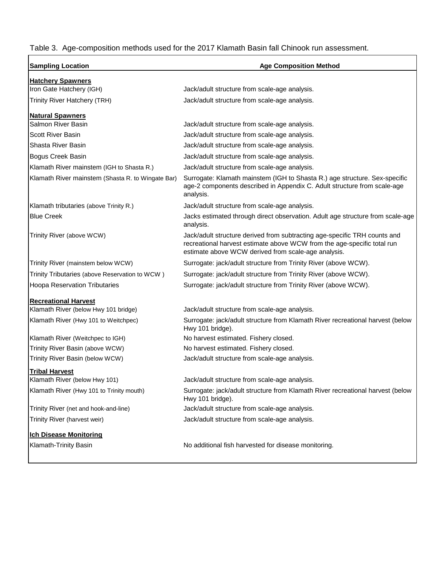Table 3. Age-composition methods used for the 2017 Klamath Basin fall Chinook run assessment.

| <b>Sampling Location</b>                          | <b>Age Composition Method</b>                                                                                                                                                                               |  |  |  |  |
|---------------------------------------------------|-------------------------------------------------------------------------------------------------------------------------------------------------------------------------------------------------------------|--|--|--|--|
| <b>Hatchery Spawners</b>                          |                                                                                                                                                                                                             |  |  |  |  |
| Iron Gate Hatchery (IGH)                          | Jack/adult structure from scale-age analysis.                                                                                                                                                               |  |  |  |  |
| Trinity River Hatchery (TRH)                      | Jack/adult structure from scale-age analysis.                                                                                                                                                               |  |  |  |  |
| <b>Natural Spawners</b>                           |                                                                                                                                                                                                             |  |  |  |  |
| Salmon River Basin                                | Jack/adult structure from scale-age analysis.                                                                                                                                                               |  |  |  |  |
| Scott River Basin                                 | Jack/adult structure from scale-age analysis.                                                                                                                                                               |  |  |  |  |
| Shasta River Basin                                | Jack/adult structure from scale-age analysis.                                                                                                                                                               |  |  |  |  |
| <b>Bogus Creek Basin</b>                          | Jack/adult structure from scale-age analysis.                                                                                                                                                               |  |  |  |  |
| Klamath River mainstem (IGH to Shasta R.)         | Jack/adult structure from scale-age analysis.                                                                                                                                                               |  |  |  |  |
| Klamath River mainstem (Shasta R. to Wingate Bar) | Surrogate: Klamath mainstem (IGH to Shasta R.) age structure. Sex-specific<br>age-2 components described in Appendix C. Adult structure from scale-age<br>analysis.                                         |  |  |  |  |
| Klamath tributaries (above Trinity R.)            | Jack/adult structure from scale-age analysis.                                                                                                                                                               |  |  |  |  |
| <b>Blue Creek</b>                                 | Jacks estimated through direct observation. Adult age structure from scale-age<br>analysis.                                                                                                                 |  |  |  |  |
| Trinity River (above WCW)                         | Jack/adult structure derived from subtracting age-specific TRH counts and<br>recreational harvest estimate above WCW from the age-specific total run<br>estimate above WCW derived from scale-age analysis. |  |  |  |  |
| Trinity River (mainstem below WCW)                | Surrogate: jack/adult structure from Trinity River (above WCW).                                                                                                                                             |  |  |  |  |
| Trinity Tributaries (above Reservation to WCW)    | Surrogate: jack/adult structure from Trinity River (above WCW).                                                                                                                                             |  |  |  |  |
| <b>Hoopa Reservation Tributaries</b>              | Surrogate: jack/adult structure from Trinity River (above WCW).                                                                                                                                             |  |  |  |  |
| <b>Recreational Harvest</b>                       |                                                                                                                                                                                                             |  |  |  |  |
| Klamath River (below Hwy 101 bridge)              | Jack/adult structure from scale-age analysis.                                                                                                                                                               |  |  |  |  |
| Klamath River (Hwy 101 to Weitchpec)              | Surrogate: jack/adult structure from Klamath River recreational harvest (below<br>Hwy 101 bridge).                                                                                                          |  |  |  |  |
| Klamath River (Weitchpec to IGH)                  | No harvest estimated. Fishery closed.                                                                                                                                                                       |  |  |  |  |
| Trinity River Basin (above WCW)                   | No harvest estimated. Fishery closed.                                                                                                                                                                       |  |  |  |  |
| Trinity River Basin (below WCW)                   | Jack/adult structure from scale-age analysis.                                                                                                                                                               |  |  |  |  |
| <b>Tribal Harvest</b>                             |                                                                                                                                                                                                             |  |  |  |  |
| Klamath River (below Hwy 101)                     | Jack/adult structure from scale-age analysis.                                                                                                                                                               |  |  |  |  |
| Klamath River (Hwy 101 to Trinity mouth)          | Surrogate: jack/adult structure from Klamath River recreational harvest (below<br>Hwy 101 bridge).                                                                                                          |  |  |  |  |
| Trinity River (net and hook-and-line)             | Jack/adult structure from scale-age analysis.                                                                                                                                                               |  |  |  |  |
| Trinity River (harvest weir)                      | Jack/adult structure from scale-age analysis.                                                                                                                                                               |  |  |  |  |
| <b>Ich Disease Monitoring</b>                     |                                                                                                                                                                                                             |  |  |  |  |
| Klamath-Trinity Basin                             | No additional fish harvested for disease monitoring.                                                                                                                                                        |  |  |  |  |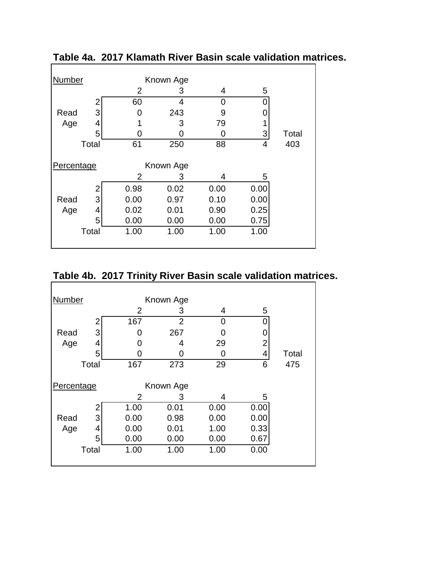| Number     |       |      | Known Age |      |      |       |
|------------|-------|------|-----------|------|------|-------|
|            |       | 2    | 3         | 4    | 5    |       |
|            | 2     | 60   | 4         | 0    |      |       |
| Read       | 3     | 0    | 243       | 9    | 0    |       |
| Age        | 4     |      | 3         | 79   |      |       |
|            | 5     | 0    | ი         |      | 3    | Total |
|            | Total | 61   | 250       | 88   | 4    | 403   |
| Percentage |       |      | Known Age |      |      |       |
|            |       | 2    | 3         | 4    | 5    |       |
|            | 2     | 0.98 | 0.02      | 0.00 | 0.00 |       |
| Read       | 3     | 0.00 | 0.97      | 0.10 | 0.00 |       |
| Age        | 4     | 0.02 | 0.01      | 0.90 | 0.25 |       |
|            | 5     | 0.00 | 0.00      | 0.00 | 0.75 |       |
|            | Total | 1.00 | 1.00      | 1.00 | 1.00 |       |
|            |       |      |           |      |      |       |

**Table 4a. 2017 Klamath River Basin scale validation matrices.**

# **Table 4b. 2017 Trinity River Basin scale validation matrices.**

| <b>Number</b> |       |                | Known Age      |      |                |       |
|---------------|-------|----------------|----------------|------|----------------|-------|
|               |       | $\overline{2}$ | 3              | 4    | 5              |       |
|               |       | 167            | $\overline{2}$ | 0    | 0              |       |
| Read          | 3     |                | 267            | 0    |                |       |
| Age           | 4     |                | 4              | 29   | $\overline{2}$ |       |
|               | 5     |                | O              | 0    | 4              | Total |
|               | Total | 167            | 273            | 29   | 6              | 475   |
|               |       |                |                |      |                |       |
| Percentage    |       |                | Known Age      |      |                |       |
|               |       | 2              | 3              | 4    | 5              |       |
|               |       | 1.00           | 0.01           | 0.00 | 0.00           |       |
| Read          | 3     | 0.00           | 0.98           | 0.00 | 0.00           |       |
| Age           | 4     | 0.00           | 0.01           | 1.00 | 0.33           |       |
|               | 5     | 0.00           | 0.00           | 0.00 | 0.67           |       |
|               | Total | 1.00           | 1.00           | 1.00 | 0.00           |       |
|               |       |                |                |      |                |       |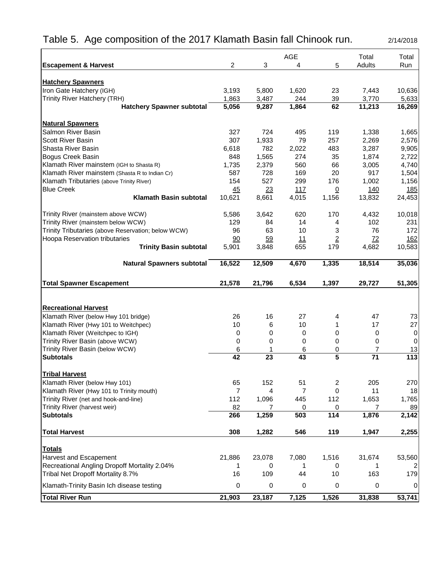# Table 5. Age composition of the 2017 Klamath Basin fall Chinook run. 2/14/2018

|                                                                                            |                 |              | <b>AGE</b>     |                | Total        | Total          |
|--------------------------------------------------------------------------------------------|-----------------|--------------|----------------|----------------|--------------|----------------|
| <b>Escapement &amp; Harvest</b>                                                            | $\overline{2}$  | 3            | 4              | 5              | Adults       | Run            |
|                                                                                            |                 |              |                |                |              |                |
| <b>Hatchery Spawners</b><br>Iron Gate Hatchery (IGH)                                       | 3,193           | 5,800        | 1,620          | 23             | 7,443        | 10,636         |
| Trinity River Hatchery (TRH)                                                               | 1,863           | 3,487        | 244            | 39             | 3,770        | 5,633          |
| <b>Hatchery Spawner subtotal</b>                                                           | 5,056           | 9,287        | 1,864          | 62             | 11,213       | 16,269         |
|                                                                                            |                 |              |                |                |              |                |
| <b>Natural Spawners</b>                                                                    |                 |              |                |                |              |                |
| Salmon River Basin                                                                         | 327             | 724          | 495            | 119            | 1,338        | 1,665          |
| <b>Scott River Basin</b>                                                                   | 307             | 1,933        | 79             | 257            | 2,269        | 2,576          |
| Shasta River Basin                                                                         | 6,618           | 782          | 2,022          | 483            | 3,287        | 9,905          |
| Bogus Creek Basin                                                                          | 848             | 1,565        | 274            | 35             | 1,874        | 2,722          |
| Klamath River mainstem (IGH to Shasta R)<br>Klamath River mainstem (Shasta R to Indian Cr) | 1,735<br>587    | 2,379<br>728 | 560<br>169     | 66<br>20       | 3,005<br>917 | 4,740<br>1,504 |
| Klamath Tributaries (above Trinity River)                                                  | 154             | 527          | 299            | 176            | 1,002        | 1,156          |
| <b>Blue Creek</b>                                                                          | 45              | 23           | 117            | $\overline{0}$ | 140          | <u>185</u>     |
| <b>Klamath Basin subtotal</b>                                                              | 10,621          | 8,661        | 4,015          | 1,156          | 13,832       | 24,453         |
|                                                                                            |                 |              |                |                |              |                |
| Trinity River (mainstem above WCW)                                                         | 5,586           | 3,642        | 620            | 170            | 4,432        | 10,018         |
| Trinity River (mainstem below WCW)                                                         | 129             | 84           | 14             | 4              | 102          | 231            |
| Trinity Tributaries (above Reservation; below WCW)                                         | 96              | 63           | 10             | 3              | 76           | 172            |
| <b>Hoopa Reservation tributaries</b>                                                       | 90              | 59           | 11             | $\overline{2}$ | 72           | 162            |
| <b>Trinity Basin subtotal</b>                                                              | 5,901           | 3,848        | 655            | 179            | 4,682        | 10,583         |
| <b>Natural Spawners subtotal</b>                                                           | 16,522          | 12,509       | 4,670          | 1,335          | 18,514       | 35,036         |
| <b>Total Spawner Escapement</b>                                                            | 21,578          | 21,796       | 6,534          | 1,397          | 29,727       | 51,305         |
|                                                                                            |                 |              |                |                |              |                |
| <b>Recreational Harvest</b>                                                                |                 |              |                |                |              |                |
| Klamath River (below Hwy 101 bridge)                                                       | 26              | 16           | 27             | 4              | 47           | 73             |
| Klamath River (Hwy 101 to Weitchpec)                                                       | 10              | 6            | 10             | 1              |              | 27             |
|                                                                                            |                 |              |                |                | 17           |                |
| Klamath River (Weitchpec to IGH)                                                           | 0               | 0            | $\mathbf 0$    | 0              | 0            | 0              |
| Trinity River Basin (above WCW)                                                            | 0               | 0            | 0              | 0              | 0            | 0              |
| Trinity River Basin (below WCW)                                                            | 6               | 1            | 6              | 0              | 7            | 13             |
| <b>Subtotals</b>                                                                           | 42              | 23           | 43             | 5              | 71           | 113            |
|                                                                                            |                 |              |                |                |              |                |
| <b>Tribal Harvest</b>                                                                      |                 |              |                |                |              |                |
| Klamath River (below Hwy 101)                                                              | 65              | 152          | 51             | 2              | 205          | 270            |
| Klamath River (Hwy 101 to Trinity mouth)                                                   | 7               | 4            | $\overline{7}$ | 0              | 11           | 18             |
| Trinity River (net and hook-and-line)                                                      | 112             | 1,096        | 445            | 112            | 1,653<br>7   | 1,765          |
| Trinity River (harvest weir)<br><b>Subtotals</b>                                           | 82<br>266       | 1,259        | 0<br>503       | 0<br>114       | 1,876        | 89<br>2,142    |
| <b>Total Harvest</b>                                                                       | 308             | 1,282        | 546            | 119            | 1,947        | 2,255          |
|                                                                                            |                 |              |                |                |              |                |
| <b>Totals</b>                                                                              |                 |              |                |                |              |                |
| Harvest and Escapement                                                                     | 21,886          | 23,078       | 7,080          | 1,516          | 31,674       | 53,560         |
| Recreational Angling Dropoff Mortality 2.04%                                               | 1               | 0            | 1              | 0              | 1            |                |
| Tribal Net Dropoff Mortality 8.7%<br>Klamath-Trinity Basin Ich disease testing             | 16<br>$\pmb{0}$ | 109<br>0     | 44<br>0        | 10<br>0        | 163<br>0     | 179<br>0       |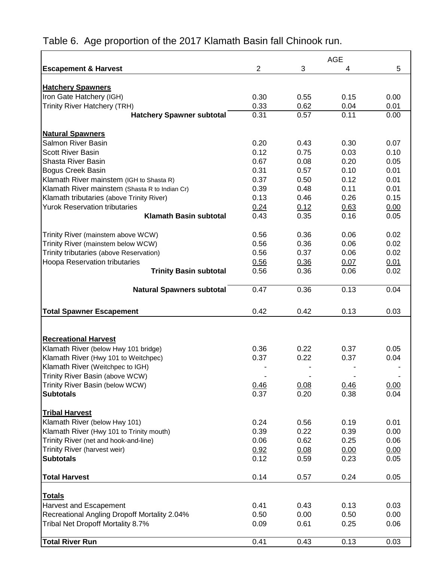|                                                |                |      | <b>AGE</b> |      |
|------------------------------------------------|----------------|------|------------|------|
| <b>Escapement &amp; Harvest</b>                | $\overline{2}$ | 3    | 4          | 5    |
|                                                |                |      |            |      |
| <b>Hatchery Spawners</b>                       |                |      |            |      |
| Iron Gate Hatchery (IGH)                       | 0.30           | 0.55 | 0.15       | 0.00 |
| <b>Trinity River Hatchery (TRH)</b>            | 0.33           | 0.62 | 0.04       | 0.01 |
| <b>Hatchery Spawner subtotal</b>               | 0.31           | 0.57 | 0.11       | 0.00 |
| <b>Natural Spawners</b>                        |                |      |            |      |
| <b>Salmon River Basin</b>                      | 0.20           | 0.43 | 0.30       | 0.07 |
| <b>Scott River Basin</b>                       | 0.12           | 0.75 | 0.03       | 0.10 |
| Shasta River Basin                             | 0.67           | 0.08 | 0.20       | 0.05 |
| <b>Bogus Creek Basin</b>                       | 0.31           | 0.57 | 0.10       | 0.01 |
| Klamath River mainstem (IGH to Shasta R)       | 0.37           | 0.50 | 0.12       | 0.01 |
| Klamath River mainstem (Shasta R to Indian Cr) | 0.39           | 0.48 | 0.11       | 0.01 |
| Klamath tributaries (above Trinity River)      | 0.13           | 0.46 | 0.26       | 0.15 |
| <b>Yurok Reservation tributaries</b>           | 0.24           | 0.12 | 0.63       | 0.00 |
| <b>Klamath Basin subtotal</b>                  | 0.43           | 0.35 | 0.16       | 0.05 |
|                                                |                |      |            |      |
| Trinity River (mainstem above WCW)             | 0.56           | 0.36 | 0.06       | 0.02 |
| Trinity River (mainstem below WCW)             | 0.56           | 0.36 | 0.06       | 0.02 |
| Trinity tributaries (above Reservation)        | 0.56           | 0.37 | 0.06       | 0.02 |
| <b>Hoopa Reservation tributaries</b>           | 0.56           | 0.36 | 0.07       | 0.01 |
| <b>Trinity Basin subtotal</b>                  | 0.56           | 0.36 | 0.06       | 0.02 |
|                                                |                |      |            |      |
| <b>Natural Spawners subtotal</b>               | 0.47           | 0.36 | 0.13       | 0.04 |
|                                                |                |      |            |      |
| <b>Total Spawner Escapement</b>                | 0.42           | 0.42 | 0.13       | 0.03 |
|                                                |                |      |            |      |
|                                                |                |      |            |      |
| <b>Recreational Harvest</b>                    |                |      |            |      |
| Klamath River (below Hwy 101 bridge)           | 0.36           | 0.22 | 0.37       | 0.05 |
| Klamath River (Hwy 101 to Weitchpec)           | 0.37           | 0.22 | 0.37       | 0.04 |
| Klamath River (Weitchpec to IGH)               |                |      |            |      |
| Trinity River Basin (above WCW)                |                |      |            |      |
| Trinity River Basin (below WCW)                | 0.46           | 0.08 | 0.46       | 0.00 |
| <b>Subtotals</b>                               | 0.37           | 0.20 | 0.38       | 0.04 |
| <b>Tribal Harvest</b>                          |                |      |            |      |
| Klamath River (below Hwy 101)                  | 0.24           | 0.56 | 0.19       | 0.01 |
| Klamath River (Hwy 101 to Trinity mouth)       | 0.39           | 0.22 | 0.39       | 0.00 |
| Trinity River (net and hook-and-line)          | 0.06           | 0.62 | 0.25       | 0.06 |
| Trinity River (harvest weir)                   | 0.92           | 0.08 | 0.00       | 0.00 |
| <b>Subtotals</b>                               | 0.12           | 0.59 | 0.23       | 0.05 |
|                                                |                |      |            |      |
| <b>Total Harvest</b>                           | 0.14           | 0.57 | 0.24       | 0.05 |
|                                                |                |      |            |      |
| <b>Totals</b>                                  |                |      |            |      |
| Harvest and Escapement                         | 0.41           | 0.43 | 0.13       | 0.03 |
| Recreational Angling Dropoff Mortality 2.04%   | 0.50           | 0.00 | 0.50       | 0.00 |
| Tribal Net Dropoff Mortality 8.7%              | 0.09           | 0.61 | 0.25       | 0.06 |
| <b>Total River Run</b>                         | 0.41           | 0.43 | 0.13       | 0.03 |

# Table 6. Age proportion of the 2017 Klamath Basin fall Chinook run.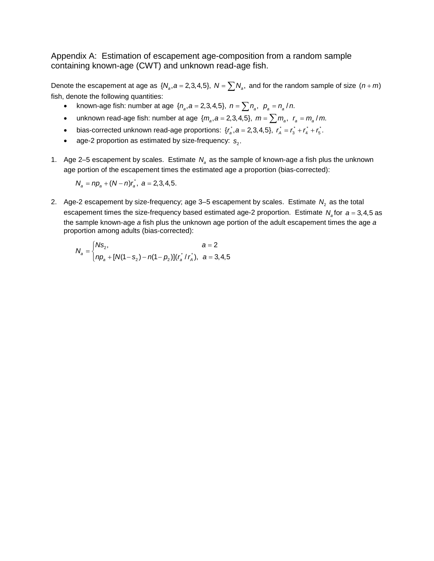Appendix A: Estimation of escapement age-composition from a random sample containing known-age (CWT) and unknown read-age fish.

Denote the escapement at age as  $\{N_a, a = 2, 3, 4, 5\}$ ,  $N = \sum N_a$ , and for the random sample of size  $(n + m)$ fish, denote the following quantities:

- known-age fish: number at age  $\{n_a, a = 2, 3, 4, 5\}$ ,  $n = \sum n_a$ ,  $p_a = n_a / n$ .
- unknown read-age fish: number at age  $\{m_a, a = 2, 3, 4, 5\}$ ,  $m = \sum m_a$ ,  $r_a = m_a / m$ .
- bias-corrected unknown read-age proportions:  $\{r_a^*, a = 2,3,4,5\}$ ,  $r_a^* = r_a^* + r_a^* + r_5^*$ .
- age-2 proportion as estimated by size-frequency:  $s<sub>2</sub>$ .
- 1. Age 2–5 escapement by scales. Estimate  $N_a$  as the sample of known-age *a* fish plus the unknown age portion of the escapement times the estimated age *a* proportion (bias-corrected):

 $N_a = np_a + (N - n)r_a$ ,  $a = 2,3,4,5$ .

2. Age-2 escapement by size-frequency; age  $3-5$  escapement by scales. Estimate  $N_2$  as the total escapement times the size-frequency based estimated age-2 proportion. Estimate  $N_a$  for  $a = 3, 4, 5$  as the sample known-age *a* fish plus the unknown age portion of the adult escapement times the age *a* proportion among adults (bias-corrected):

$$
N_a = \begin{cases} N s_2, & a = 2 \\ np_a + [N(1 - s_2) - n(1 - p_2)](r_a^* / r_A), & a = 3, 4, 5 \end{cases}
$$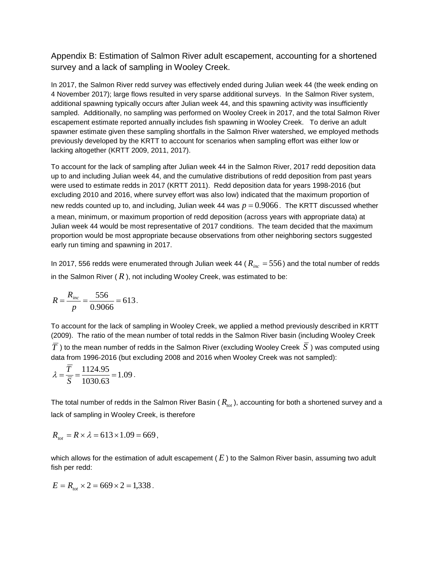Appendix B: Estimation of Salmon River adult escapement, accounting for a shortened survey and a lack of sampling in Wooley Creek.

In 2017, the Salmon River redd survey was effectively ended during Julian week 44 (the week ending on 4 November 2017); large flows resulted in very sparse additional surveys. In the Salmon River system, additional spawning typically occurs after Julian week 44, and this spawning activity was insufficiently sampled. Additionally, no sampling was performed on Wooley Creek in 2017, and the total Salmon River escapement estimate reported annually includes fish spawning in Wooley Creek. To derive an adult spawner estimate given these sampling shortfalls in the Salmon River watershed, we employed methods previously developed by the KRTT to account for scenarios when sampling effort was either low or lacking altogether (KRTT 2009, 2011, 2017).

To account for the lack of sampling after Julian week 44 in the Salmon River, 2017 redd deposition data up to and including Julian week 44, and the cumulative distributions of redd deposition from past years were used to estimate redds in 2017 (KRTT 2011). Redd deposition data for years 1998-2016 (but excluding 2010 and 2016, where survey effort was also low) indicated that the maximum proportion of new redds counted up to, and including, Julian week 44 was  $p = 0.9066$ . The KRTT discussed whether a mean, minimum, or maximum proportion of redd deposition (across years with appropriate data) at Julian week 44 would be most representative of 2017 conditions. The team decided that the maximum proportion would be most appropriate because observations from other neighboring sectors suggested early run timing and spawning in 2017.

In 2017, 556 redds were enumerated through Julian week 44 ( $R_{inc} = 556$ ) and the total number of redds in the Salmon River  $(R)$ , not including Wooley Creek, was estimated to be:

$$
R = \frac{R_{inc}}{p} = \frac{556}{0.9066} = 613.
$$

To account for the lack of sampling in Wooley Creek, we applied a method previously described in KRTT (2009). The ratio of the mean number of total redds in the Salmon River basin (including Wooley Creek  $\overline{T}$ ) to the mean number of redds in the Salmon River (excluding Wooley Creek  $\overline{S}$ ) was computed using data from 1996-2016 (but excluding 2008 and 2016 when Wooley Creek was not sampled):

$$
\lambda = \frac{\overline{T}}{\overline{S}} = \frac{1124.95}{1030.63} = 1.09.
$$

The total number of redds in the Salmon River Basin  $(R_{tot})$ , accounting for both a shortened survey and a lack of sampling in Wooley Creek, is therefore

$$
R_{\rm tot} = R \times \lambda = 613 \times 1.09 = 669,
$$

which allows for the estimation of adult escapement (E) to the Salmon River basin, assuming two adult fish per redd:

$$
E = R_{\text{tot}} \times 2 = 669 \times 2 = 1,338.
$$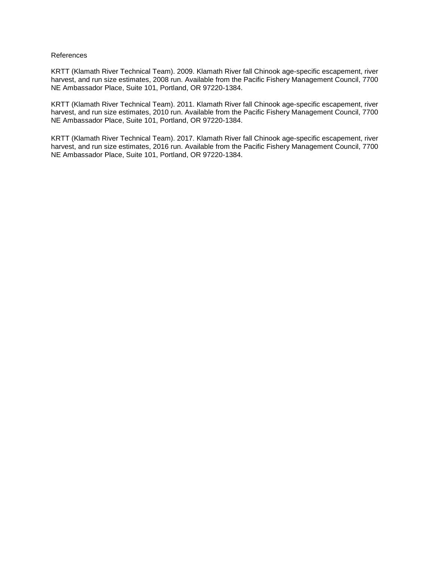#### References

KRTT (Klamath River Technical Team). 2009. Klamath River fall Chinook age-specific escapement, river harvest, and run size estimates, 2008 run. Available from the Pacific Fishery Management Council, 7700 NE Ambassador Place, Suite 101, Portland, OR 97220-1384.

KRTT (Klamath River Technical Team). 2011. Klamath River fall Chinook age-specific escapement, river harvest, and run size estimates, 2010 run. Available from the Pacific Fishery Management Council, 7700 NE Ambassador Place, Suite 101, Portland, OR 97220-1384.

KRTT (Klamath River Technical Team). 2017. Klamath River fall Chinook age-specific escapement, river harvest, and run size estimates, 2016 run. Available from the Pacific Fishery Management Council, 7700 NE Ambassador Place, Suite 101, Portland, OR 97220-1384.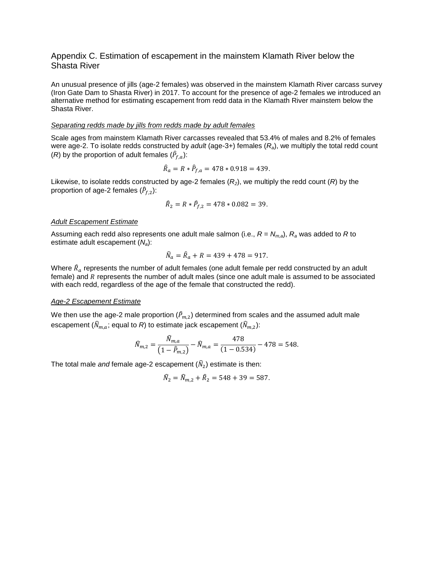#### Appendix C. Estimation of escapement in the mainstem Klamath River below the Shasta River

An unusual presence of jills (age-2 females) was observed in the mainstem Klamath River carcass survey (Iron Gate Dam to Shasta River) in 2017. To account for the presence of age-2 females we introduced an alternative method for estimating escapement from redd data in the Klamath River mainstem below the Shasta River.

#### *Separating redds made by jills from redds made by adult females*

Scale ages from mainstem Klamath River carcasses revealed that 53.4% of males and 8.2% of females were age-2. To isolate redds constructed by *adult* (age-3+) females (*Ra*), we multiply the total redd count (*R*) by the proportion of adult females  $(\hat{P}_{f,a})$ :

$$
\hat{R}_a = R * \hat{P}_{f,a} = 478 * 0.918 = 439.
$$

Likewise, to isolate redds constructed by age-2 females  $(R_2)$ , we multiply the redd count  $(R)$  by the proportion of age-2 females  $(\hat{P}_{f,2})$ :

$$
\hat{R}_2 = R * \hat{P}_{f,2} = 478 * 0.082 = 39.
$$

#### *Adult Escapement Estimate*

Assuming each redd also represents one adult male salmon (i.e.,  $R = N_{m,a}$ ),  $R_a$  was added to *R* to estimate adult escapement (*Na*):

$$
\widehat{N}_a = \widehat{R}_a + R = 439 + 478 = 917.
$$

Where  $\hat{R}_a$  represents the number of adult females (one adult female per redd constructed by an adult female) and  $R$  represents the number of adult males (since one adult male is assumed to be associated with each redd, regardless of the age of the female that constructed the redd).

#### *Age-2 Escapement Estimate*

We then use the age-2 male proportion  $(\bar{P}_{m,2})$  determined from scales and the assumed adult male escapement ( $\hat{N}_{m,a}$ ; equal to *R*) to estimate jack escapement ( $\hat{N}_{m,2}$ ):

$$
\widehat{N}_{m,2} = \frac{N_{m,a}}{\left(1 - \widehat{P}_{m,2}\right)} - \widehat{N}_{m,a} = \frac{478}{\left(1 - 0.534\right)} - 478 = 548.
$$

The total male *and* female age-2 escapement  $(\widehat{N}_2)$  estimate is then:

$$
\widehat{N}_2 = \widehat{N}_{m,2} + \widehat{R}_2 = 548 + 39 = 587.
$$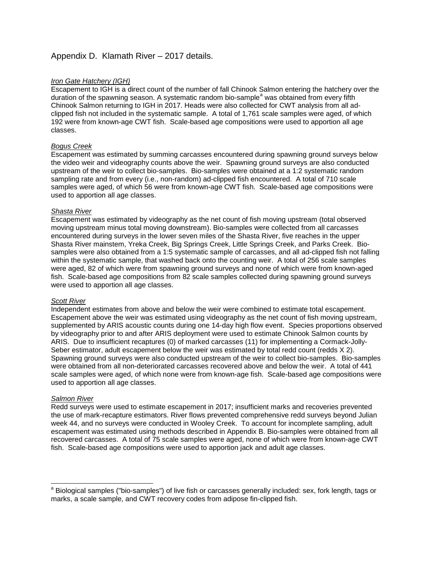# Appendix D. Klamath River – 2017 details.

#### *Iron Gate Hatchery (IGH)*

Escapement to IGH is a direct count of the number of fall Chinook Salmon entering the hatchery over the dur[a](#page-15-0)tion of the spawning season. A systematic random bio-sample<sup>a</sup> was obtained from every fifth Chinook Salmon returning to IGH in 2017. Heads were also collected for CWT analysis from all adclipped fish not included in the systematic sample. A total of 1,761 scale samples were aged, of which 192 were from known-age CWT fish. Scale-based age compositions were used to apportion all age classes.

#### *Bogus Creek*

Escapement was estimated by summing carcasses encountered during spawning ground surveys below the video weir and videography counts above the weir. Spawning ground surveys are also conducted upstream of the weir to collect bio-samples. Bio-samples were obtained at a 1:2 systematic random sampling rate and from every (i.e., non-random) ad-clipped fish encountered. A total of 710 scale samples were aged, of which 56 were from known-age CWT fish. Scale-based age compositions were used to apportion all age classes.

#### *Shasta River*

Escapement was estimated by videography as the net count of fish moving upstream (total observed moving upstream minus total moving downstream). Bio-samples were collected from all carcasses encountered during surveys in the lower seven miles of the Shasta River, five reaches in the upper Shasta River mainstem, Yreka Creek, Big Springs Creek, Little Springs Creek, and Parks Creek. Biosamples were also obtained from a 1:5 systematic sample of carcasses, and all ad-clipped fish not falling within the systematic sample, that washed back onto the counting weir. A total of 256 scale samples were aged, 82 of which were from spawning ground surveys and none of which were from known-aged fish. Scale-based age compositions from 82 scale samples collected during spawning ground surveys were used to apportion all age classes.

#### *Scott River*

Independent estimates from above and below the weir were combined to estimate total escapement. Escapement above the weir was estimated using videography as the net count of fish moving upstream, supplemented by ARIS acoustic counts during one 14-day high flow event. Species proportions observed by videography prior to and after ARIS deployment were used to estimate Chinook Salmon counts by ARIS. Due to insufficient recaptures (0) of marked carcasses (11) for implementing a Cormack-Jolly-Seber estimator, adult escapement below the weir was estimated by total redd count (redds  $X$  2). Spawning ground surveys were also conducted upstream of the weir to collect bio-samples. Bio-samples were obtained from all non-deteriorated carcasses recovered above and below the weir. A total of 441 scale samples were aged, of which none were from known-age fish. Scale-based age compositions were used to apportion all age classes.

### *Salmon River*

Redd surveys were used to estimate escapement in 2017; insufficient marks and recoveries prevented the use of mark-recapture estimators. River flows prevented comprehensive redd surveys beyond Julian week 44, and no surveys were conducted in Wooley Creek. To account for incomplete sampling, adult escapement was estimated using methods described in Appendix B. Bio-samples were obtained from all recovered carcasses. A total of 75 scale samples were aged, none of which were from known-age CWT fish. Scale-based age compositions were used to apportion jack and adult age classes.

<span id="page-15-0"></span><sup>&</sup>lt;sup>a</sup> Biological samples ("bio-samples") of live fish or carcasses generally included: sex, fork length, tags or marks, a scale sample, and CWT recovery codes from adipose fin-clipped fish.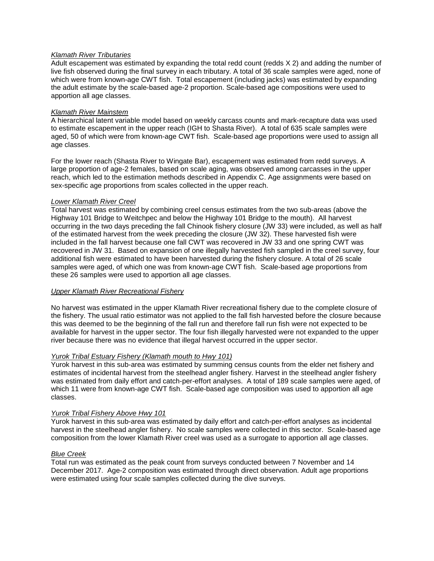#### *Klamath River Tributaries*

Adult escapement was estimated by expanding the total redd count (redds X 2) and adding the number of live fish observed during the final survey in each tributary. A total of 36 scale samples were aged, none of which were from known-age CWT fish. Total escapement (including jacks) was estimated by expanding the adult estimate by the scale-based age-2 proportion. Scale-based age compositions were used to apportion all age classes.

#### *Klamath River Mainstem*

A hierarchical latent variable model based on weekly carcass counts and mark-recapture data was used to estimate escapement in the upper reach (IGH to Shasta River). A total of 635 scale samples were aged, 50 of which were from known-age CWT fish. Scale-based age proportions were used to assign all age classes.

For the lower reach (Shasta River to Wingate Bar), escapement was estimated from redd surveys. A large proportion of age-2 females, based on scale aging, was observed among carcasses in the upper reach, which led to the estimation methods described in Appendix C. Age assignments were based on sex-specific age proportions from scales collected in the upper reach.

#### *Lower Klamath River Creel*

Total harvest was estimated by combining creel census estimates from the two sub-areas (above the Highway 101 Bridge to Weitchpec and below the Highway 101 Bridge to the mouth). All harvest occurring in the two days preceding the fall Chinook fishery closure (JW 33) were included, as well as half of the estimated harvest from the week preceding the closure (JW 32). These harvested fish were included in the fall harvest because one fall CWT was recovered in JW 33 and one spring CWT was recovered in JW 31. Based on expansion of one illegally harvested fish sampled in the creel survey, four additional fish were estimated to have been harvested during the fishery closure. A total of 26 scale samples were aged, of which one was from known-age CWT fish. Scale-based age proportions from these 26 samples were used to apportion all age classes.

#### *Upper Klamath River Recreational Fishery*

No harvest was estimated in the upper Klamath River recreational fishery due to the complete closure of the fishery. The usual ratio estimator was not applied to the fall fish harvested before the closure because this was deemed to be the beginning of the fall run and therefore fall run fish were not expected to be available for harvest in the upper sector. The four fish illegally harvested were not expanded to the upper river because there was no evidence that illegal harvest occurred in the upper sector.

#### *Yurok Tribal Estuary Fishery (Klamath mouth to Hwy 101)*

Yurok harvest in this sub-area was estimated by summing census counts from the elder net fishery and estimates of incidental harvest from the steelhead angler fishery. Harvest in the steelhead angler fishery was estimated from daily effort and catch-per-effort analyses. A total of 189 scale samples were aged, of which 11 were from known-age CWT fish. Scale-based age composition was used to apportion all age classes.

#### *Yurok Tribal Fishery Above Hwy 101*

Yurok harvest in this sub-area was estimated by daily effort and catch-per-effort analyses as incidental harvest in the steelhead angler fishery. No scale samples were collected in this sector. Scale-based age composition from the lower Klamath River creel was used as a surrogate to apportion all age classes.

#### *Blue Creek*

Total run was estimated as the peak count from surveys conducted between 7 November and 14 December 2017. Age-2 composition was estimated through direct observation. Adult age proportions were estimated using four scale samples collected during the dive surveys.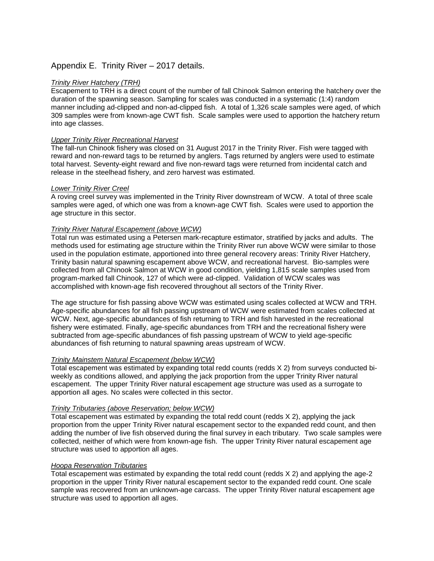# Appendix E. Trinity River – 2017 details.

#### *Trinity River Hatchery (TRH)*

Escapement to TRH is a direct count of the number of fall Chinook Salmon entering the hatchery over the duration of the spawning season. Sampling for scales was conducted in a systematic (1:4) random manner including ad-clipped and non-ad-clipped fish. A total of 1,326 scale samples were aged, of which 309 samples were from known-age CWT fish. Scale samples were used to apportion the hatchery return into age classes.

#### *Upper Trinity River Recreational Harvest*

The fall-run Chinook fishery was closed on 31 August 2017 in the Trinity River. Fish were tagged with reward and non-reward tags to be returned by anglers. Tags returned by anglers were used to estimate total harvest. Seventy-eight reward and five non-reward tags were returned from incidental catch and release in the steelhead fishery, and zero harvest was estimated.

#### *Lower Trinity River Creel*

A roving creel survey was implemented in the Trinity River downstream of WCW. A total of three scale samples were aged, of which one was from a known-age CWT fish. Scales were used to apportion the age structure in this sector.

#### *Trinity River Natural Escapement (above WCW)*

Total run was estimated using a Petersen mark-recapture estimator, stratified by jacks and adults. The methods used for estimating age structure within the Trinity River run above WCW were similar to those used in the population estimate, apportioned into three general recovery areas: Trinity River Hatchery, Trinity basin natural spawning escapement above WCW, and recreational harvest. Bio-samples were collected from all Chinook Salmon at WCW in good condition, yielding 1,815 scale samples used from program-marked fall Chinook, 127 of which were ad-clipped. Validation of WCW scales was accomplished with known-age fish recovered throughout all sectors of the Trinity River.

The age structure for fish passing above WCW was estimated using scales collected at WCW and TRH. Age-specific abundances for all fish passing upstream of WCW were estimated from scales collected at WCW. Next, age-specific abundances of fish returning to TRH and fish harvested in the recreational fishery were estimated. Finally, age-specific abundances from TRH and the recreational fishery were subtracted from age-specific abundances of fish passing upstream of WCW to yield age-specific abundances of fish returning to natural spawning areas upstream of WCW.

#### *Trinity Mainstem Natural Escapement (below WCW)*

Total escapement was estimated by expanding total redd counts (redds X 2) from surveys conducted biweekly as conditions allowed, and applying the jack proportion from the upper Trinity River natural escapement. The upper Trinity River natural escapement age structure was used as a surrogate to apportion all ages. No scales were collected in this sector.

#### *Trinity Tributaries (above Reservation; below WCW)*

Total escapement was estimated by expanding the total redd count (redds X 2), applying the jack proportion from the upper Trinity River natural escapement sector to the expanded redd count, and then adding the number of live fish observed during the final survey in each tributary. Two scale samples were collected, neither of which were from known-age fish. The upper Trinity River natural escapement age structure was used to apportion all ages.

#### *Hoopa Reservation Tributaries*

Total escapement was estimated by expanding the total redd count (redds X 2) and applying the age-2 proportion in the upper Trinity River natural escapement sector to the expanded redd count. One scale sample was recovered from an unknown-age carcass. The upper Trinity River natural escapement age structure was used to apportion all ages.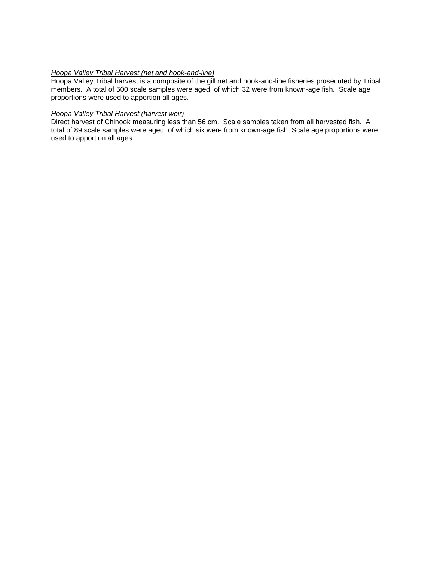#### *Hoopa Valley Tribal Harvest (net and hook-and-line)*

Hoopa Valley Tribal harvest is a composite of the gill net and hook-and-line fisheries prosecuted by Tribal members. A total of 500 scale samples were aged, of which 32 were from known-age fish. Scale age proportions were used to apportion all ages.

### *Hoopa Valley Tribal Harvest (harvest weir)*

Direct harvest of Chinook measuring less than 56 cm. Scale samples taken from all harvested fish. A total of 89 scale samples were aged, of which six were from known-age fish. Scale age proportions were used to apportion all ages.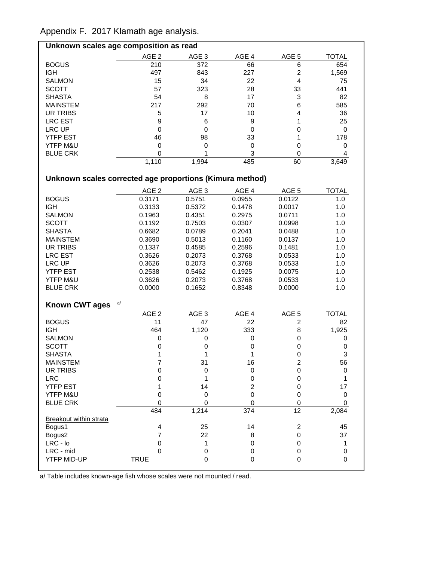Appendix F. 2017 Klamath age analysis.

| Unknown scales age composition as read |       |       |       |       |       |  |  |
|----------------------------------------|-------|-------|-------|-------|-------|--|--|
|                                        | AGE 2 | AGE 3 | AGE 4 | AGE 5 | TOTAL |  |  |
| <b>BOGUS</b>                           | 210   | 372   | 66    | 6     | 654   |  |  |
| <b>IGH</b>                             | 497   | 843   | 227   | 2     | 1,569 |  |  |
| <b>SALMON</b>                          | 15    | 34    | 22    | 4     | 75    |  |  |
| <b>SCOTT</b>                           | 57    | 323   | 28    | 33    | 441   |  |  |
| <b>SHASTA</b>                          | 54    | 8     | 17    | 3     | 82    |  |  |
| <b>MAINSTEM</b>                        | 217   | 292   | 70    | 6     | 585   |  |  |
| UR TRIBS                               | 5     | 17    | 10    | 4     | 36    |  |  |
| <b>LRC EST</b>                         | 9     | 6     | 9     |       | 25    |  |  |
| LRC UP                                 | Ω     |       | 0     |       | 0     |  |  |
| <b>YTFP EST</b>                        | 46    | 98    | 33    |       | 178   |  |  |
| <b>YTFP M&amp;U</b>                    | Ω     |       | 0     |       |       |  |  |
| <b>BLUE CRK</b>                        |       |       | 3     |       |       |  |  |
|                                        | 1,110 | 1,994 | 485   | 60    | 3,649 |  |  |

# **Unknown scales corrected age proportions (Kimura method)**

|                               | AGE <sub>2</sub> | AGE <sub>3</sub> | AGE 4          | AGE <sub>5</sub> | <b>TOTAL</b>     |
|-------------------------------|------------------|------------------|----------------|------------------|------------------|
| <b>BOGUS</b>                  | 0.3171           | 0.5751           | 0.0955         | 0.0122           | 1.0              |
| <b>IGH</b>                    | 0.3133           | 0.5372           | 0.1478         | 0.0017           | 1.0              |
| <b>SALMON</b>                 | 0.1963           | 0.4351           | 0.2975         | 0.0711           | 1.0              |
| <b>SCOTT</b>                  | 0.1192           | 0.7503           | 0.0307         | 0.0998           | 1.0              |
| <b>SHASTA</b>                 | 0.6682           | 0.0789           | 0.2041         | 0.0488           | 1.0              |
| <b>MAINSTEM</b>               | 0.3690           | 0.5013           | 0.1160         | 0.0137           | 1.0              |
| <b>UR TRIBS</b>               | 0.1337           | 0.4585           | 0.2596         | 0.1481           | 1.0              |
| <b>LRC EST</b>                | 0.3626           | 0.2073           | 0.3768         | 0.0533           | 1.0              |
| LRC UP                        | 0.3626           | 0.2073           | 0.3768         | 0.0533           | 1.0              |
| <b>YTFP EST</b>               | 0.2538           | 0.5462           | 0.1925         | 0.0075           | 1.0              |
| YTFP M&U                      | 0.3626           | 0.2073           | 0.3768         | 0.0533           | 1.0              |
| <b>BLUE CRK</b>               | 0.0000           | 0.1652           | 0.8348         | 0.0000           | 1.0              |
|                               |                  |                  |                |                  |                  |
| <b>Known CWT ages</b>         | a/               |                  |                |                  |                  |
|                               | AGE <sub>2</sub> | AGE <sub>3</sub> | AGE 4          | AGE 5            | <b>TOTAL</b>     |
| <b>BOGUS</b>                  | 11               | 47               | 22             | $\overline{2}$   | 82               |
| <b>IGH</b>                    | 464              | 1,120            | 333            | 8                | 1,925            |
| <b>SALMON</b>                 | 0                | 0                | 0              | 0                | 0                |
| <b>SCOTT</b>                  | $\mathbf 0$      | 0                | $\pmb{0}$      | $\mathsf 0$      | $\boldsymbol{0}$ |
| <b>SHASTA</b>                 | 1                | 1                | 1              | 0                | 3                |
| <b>MAINSTEM</b>               | 7                | 31               | 16             | $\overline{2}$   | 56               |
| <b>UR TRIBS</b>               | 0                | $\mathbf 0$      | 0              | 0                | $\mathbf 0$      |
| <b>LRC</b>                    | 0                | 1                | 0              | 0                | 1                |
| <b>YTFP EST</b>               | 1                | 14               | $\overline{c}$ | 0                | 17               |
| YTFP M&U                      | $\mathbf 0$      | $\mathbf 0$      | 0              | $\mathbf 0$      | $\pmb{0}$        |
| <b>BLUE CRK</b>               | $\Omega$         | $\Omega$         | $\Omega$       | $\Omega$         | $\Omega$         |
|                               | 484              | 1,214            | 374            | $\overline{12}$  | 2,084            |
| <b>Breakout within strata</b> |                  |                  |                |                  |                  |
| Bogus1                        | 4                | 25               | 14             | $\overline{2}$   | 45               |
| Bogus2                        | $\overline{7}$   | 22               | 8              | 0                | 37               |
| $LRC - Io$                    | $\mathbf 0$      | 1                | 0              | $\mathbf 0$      | $\mathbf 1$      |
| LRC - mid                     | 0                | 0                | 0              | 0                | 0                |
| <b>YTFP MID-UP</b>            | <b>TRUE</b>      | $\Omega$         | $\mathbf 0$    | $\mathbf{0}$     | $\mathbf 0$      |

a/ Table includes known-age fish whose scales were not mounted / read.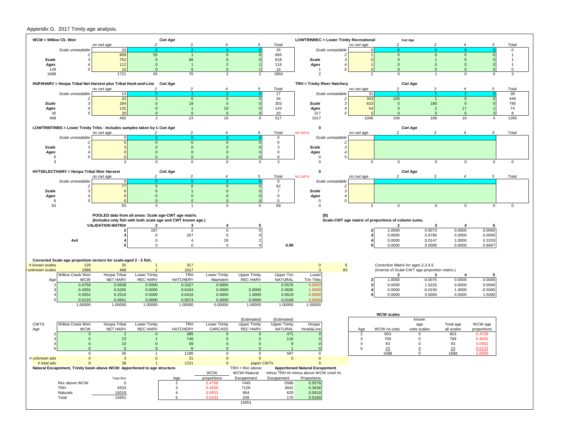#### Appendix G. 2017 Trinity age analysis.

| WCW = Willow Ck. Weir |                                           |                                                                                         |                                 | <b>Cwt Age</b>                                        |                          |                            |                                       | <b>LOWTRINREC = Lower Trinity Recreational</b> |                  |                     |                                                     | <b>Cwt Age</b>                                      |                      |                     |                      |
|-----------------------|-------------------------------------------|-----------------------------------------------------------------------------------------|---------------------------------|-------------------------------------------------------|--------------------------|----------------------------|---------------------------------------|------------------------------------------------|------------------|---------------------|-----------------------------------------------------|-----------------------------------------------------|----------------------|---------------------|----------------------|
|                       | Scale unreadable                          | no cwt age<br>33                                                                        | $\overline{2}$                  | 3                                                     |                          | 5                          | Total<br>35                           |                                                | Scale unreadable | no cwt age          | $\mathcal{P}$                                       | з                                                   |                      |                     | Total<br>$\mathbf 0$ |
|                       | 2                                         | 809                                                                                     | 55                              | $\overline{1}$                                        | $\mathbf 0$              |                            | 865                                   |                                                |                  |                     | $\mathbf{0}$                                        | $\mathbf{0}$                                        | $\mathbf{0}$         |                     | $\overline{1}$       |
| Scale                 | з                                         | 752                                                                                     | $\mathbf 0$                     | 66                                                    | $\mathbf{0}$             |                            | 818                                   | Scale                                          | з                |                     | $\mathbf{0}$                                        |                                                     | $\mathbf 0$          |                     | $\overline{1}$       |
| Ages                  |                                           | 112                                                                                     | $\mathbf{0}$                    | -1                                                    | $\overline{2}$           |                            | 116                                   | Ages                                           |                  |                     | $\Omega$                                            | $\Omega$                                            | $\overline{0}$       |                     | $\overline{1}$       |
| 129<br>1688           |                                           | 15<br>1721                                                                              | $\mathbf{0}$<br>55              | $\overline{0}$<br>70                                  | $\mathbf{0}$<br>2        | 2                          | 16<br>1850                            | -1<br>$\overline{2}$                           |                  | 2                   | $\Omega$<br>$\mathbf{0}$                            | $\Omega$                                            | $\Omega$<br>$\Omega$ | $\mathbf 0$         | $\mathbf 0$<br>3     |
|                       |                                           |                                                                                         |                                 |                                                       |                          |                            |                                       |                                                |                  |                     |                                                     |                                                     |                      |                     |                      |
|                       |                                           | HUPAHARV = Hoopa Tribal Net Harvest plus Tribal Hook-and-Line Cwt Age                   | $\mathcal{P}$                   | 3                                                     | $\overline{4}$           | 5                          |                                       | TRH = Trinity River Hatchery                   |                  |                     | $\overline{c}$                                      | <b>Cwt Age</b><br>3                                 | $\boldsymbol{4}$     | 5                   |                      |
|                       | Scale unreadable                          | no cwt age<br>14                                                                        |                                 |                                                       |                          |                            | Total<br>17                           |                                                | Scale unreadable | no cwt age<br>31    |                                                     |                                                     |                      |                     | Total<br>39          |
|                       |                                           | 32                                                                                      | $\overline{2}$                  | $\mathbf{0}$                                          | $\mathbf{0}$             |                            | 34                                    |                                                |                  | 343                 | 105                                                 |                                                     | $\mathbf{0}$         |                     | 449                  |
| Scale                 |                                           | 284                                                                                     | $\mathbf{0}$                    | 19                                                    | $\mathbf 0$              |                            | 303                                   | Scale                                          |                  | 615                 | $\mathbf{0}$                                        | 180                                                 | $\mathbf 0$          |                     | 795                  |
| Ages<br>35            |                                           | 132<br>20                                                                               | $\mathbf{0}$<br>$\Omega$        | $\overline{1}$<br>$\Omega$                            | 10<br>$\Omega$           |                            | 143<br>20                             | Ages<br>317                                    |                  | 54                  | $\mathbf{0}$<br>$\Omega$                            | $\overline{2}$<br>$\Omega$                          | 17<br>$\overline{0}$ |                     | 74<br>8              |
| 468                   |                                           | 482                                                                                     | $\overline{2}$                  | 23                                                    | 10                       | $\Omega$                   | 517                                   | 1017                                           |                  | 1048                | 106                                                 | 188                                                 | 19                   | 4                   | 1365                 |
|                       |                                           |                                                                                         |                                 |                                                       |                          |                            |                                       |                                                |                  |                     |                                                     |                                                     |                      |                     |                      |
|                       |                                           | LOWTRINTRIBS = Lower Trinity Tribs - Includes samples taken by U Cwt Age                |                                 | 3                                                     |                          | 5                          | Total                                 | $\mathbf 0$<br><b>NO DATA</b>                  |                  |                     | $\mathfrak{p}$                                      | <b>Cwt Age</b>                                      |                      | 5                   | Total                |
|                       | Scale unreadable                          | no cwt age<br>$\Omega$                                                                  | $\Omega$                        | 0                                                     |                          |                            | 0                                     |                                                | Scale unreadable | no cwt age          |                                                     |                                                     |                      |                     |                      |
|                       |                                           |                                                                                         | $\mathbf 0$                     | $\mathbf{0}$                                          | $\mathbf{0}$             |                            | 0                                     |                                                | 2                |                     |                                                     |                                                     |                      |                     |                      |
| Scale                 |                                           |                                                                                         | $\mathbf 0$                     | $\mathbf{0}$                                          | $\mathbf{0}$             |                            | 3                                     | Scale                                          | з                |                     |                                                     |                                                     |                      |                     |                      |
| Ages<br>$\mathbf 0$   |                                           |                                                                                         | $\mathbf{0}$<br>$\Omega$        | $\mathbf{0}$<br>$\mathbf{0}$                          | $\Omega$<br>$\Omega$     |                            | 0<br>0                                | Ages<br>$\mathbf 0$                            |                  |                     |                                                     |                                                     |                      |                     |                      |
| 3                     |                                           | 3                                                                                       | $\mathsf 0$                     | $\mathbf 0$                                           | $\mathbf 0$              | 0                          | 3                                     | $\mathbf 0$                                    |                  | 0                   | $\mathbf{0}$                                        | $\Omega$                                            | $\mathbf 0$          | 0                   | $\mathsf 0$          |
|                       |                                           |                                                                                         |                                 |                                                       |                          |                            |                                       |                                                |                  |                     |                                                     |                                                     |                      |                     |                      |
|                       | HVTSELECTHARV = Hoopa Tribal Weir Harvest |                                                                                         |                                 | <b>Cwt Age</b>                                        |                          | 5                          |                                       | $\mathbf 0$                                    |                  |                     | $\mathcal{D}$                                       | <b>Cwt Age</b><br>$\mathbf{z}$                      |                      |                     | Total                |
|                       | Scale unreadable                          | no cwt age<br>$\Omega$                                                                  |                                 | 3                                                     |                          |                            | Total<br>0                            | <b>NO DATA</b>                                 | Scale unreadable | no cwt age          |                                                     |                                                     |                      |                     |                      |
|                       | 2                                         | 77                                                                                      | 5                               | $\mathbf{0}$                                          | $\overline{0}$           |                            | 82                                    |                                                | 2                |                     |                                                     |                                                     |                      |                     |                      |
| Scale                 | з                                         | $\epsilon$                                                                              | $\mathbf{0}$                    |                                                       | $\mathbf{0}$             |                            | $\overline{7}$                        | Scale                                          | 3                |                     |                                                     |                                                     |                      |                     |                      |
| Ages<br>6             |                                           |                                                                                         | $\mathbf{0}$<br>$\Omega$        | $\mathbf{0}$<br>$\Omega$                              | $\mathbf{0}$<br>$\Omega$ |                            | 0<br>$\Omega$                         | Ages<br>$\mathbf 0$                            |                  |                     |                                                     |                                                     |                      |                     |                      |
| 83                    |                                           | 83                                                                                      | 5                               | 1                                                     | $\mathbf 0$              | 0                          | 89                                    | $\mathbf 0$                                    |                  | 0                   | $\mathbf 0$                                         | $\mathbf 0$                                         | $\mathbf 0$          | $\mathbf 0$         | $\mathbf 0$          |
|                       |                                           |                                                                                         |                                 |                                                       |                          |                            |                                       |                                                |                  |                     |                                                     |                                                     |                      |                     |                      |
|                       |                                           |                                                                                         |                                 | POOLED data from all areas: Scale age-CWT age matrix. |                          |                            |                                       |                                                | (B)              |                     | Scale-CWT age matrix of proportions of column sums. |                                                     |                      |                     |                      |
|                       |                                           |                                                                                         |                                 |                                                       |                          |                            |                                       |                                                |                  |                     |                                                     |                                                     |                      |                     |                      |
|                       |                                           | (Includes only fish with both scale age and CWT known age.)<br><b>VALIDATION MATRIX</b> | $\overline{2}$                  | 3                                                     | 4                        | 5                          |                                       |                                                |                  |                     | $\overline{\mathbf{2}}$                             | 3                                                   | 4                    | -5                  |                      |
|                       |                                           |                                                                                         | 167                             | $\overline{2}$                                        | $\mathbf 0$              |                            |                                       |                                                |                  |                     | 1.0000                                              | 0.0073                                              | 0.0000               | 0.0000              |                      |
|                       |                                           |                                                                                         | $\mathbf 0$                     | 267                                                   | $\mathbf 0$              |                            |                                       |                                                |                  |                     | 0.0000                                              | 0.9780                                              | 0.0000               | 0.0000              |                      |
|                       | 4x4                                       |                                                                                         | $\mathbf 0$                     | $\overline{4}$                                        | 29                       |                            |                                       |                                                |                  |                     | 0.0000                                              | 0.0147                                              | 1.0000               | 0.3333              |                      |
|                       |                                           |                                                                                         | $\Omega$                        | $\mathbf 0$                                           | $\mathbf 0$              |                            | 0.98                                  |                                                |                  |                     | 0.0000                                              | 0.0000                                              | 0.0000               | 0.6667              |                      |
|                       |                                           |                                                                                         |                                 |                                                       |                          |                            |                                       |                                                |                  |                     |                                                     |                                                     |                      |                     |                      |
|                       |                                           | Corrected Scale age proportion vectors for scale-aged 2 - 5 fish.                       |                                 |                                                       |                          |                            |                                       |                                                |                  |                     |                                                     |                                                     |                      |                     |                      |
| # known scales        | 129                                       | 35                                                                                      | $\overline{1}$<br>$\mathcal{P}$ | 317                                                   |                          |                            |                                       | $\mathbf{0}$                                   | $\,$ 6 $\,$      |                     | Correction Matrix for ages 2,3,4,5.                 |                                                     |                      |                     |                      |
| unknown scales        | 1688<br>Willow Creek Weir                 | 468<br>Hoopa Tribal                                                                     | <b>Lower Trinity</b>            | 1017<br><b>TRH</b>                                    | Lower Trinity            | <b>Upper Trinity</b>       | Upper Trin                            | Lower                                          | 83               |                     | $\overline{\mathbf{2}}$                             | (Inverse of Scale-CWT age proportion matrix.)<br>-3 |                      | -5                  |                      |
| Age                   | <b>WCW</b>                                | <b>NET HARV</b>                                                                         | <b>REC HARV</b>                 | <b>HATCHERY</b>                                       | Mainstem                 | <b>REC HARV</b>            | NATURAL                               | Trin Tribs                                     |                  |                     | 1.0000                                              | $-0.0075$                                           | 0.0000               | 0.0000              |                      |
|                       | 0.4759                                    | 0.0638                                                                                  | 0.5000                          | 0.3327                                                | 0.0000                   |                            | 0.5576                                | 0.0000                                         |                  |                     | 0.0000                                              | 1.0225                                              | 0.0000               | 0.0000              |                      |
|                       | 0.4555                                    | 0.6205                                                                                  | 0.0000                          | 0.6183                                                | 0.0000                   | 0.0000                     | 0.3636                                | 1.0000<br>0.0000                               |                  |                     | 0.0000<br>0.0000                                    | $-0.0150$<br>0.0000                                 | 1.0000<br>0.0000     | $-0.5000$<br>1.5000 |                      |
|                       | 0.0552<br>0.0133                          | 0.2516<br>0.0641                                                                        | 0.5000<br>0.0000                | 0.0416<br>0.0074                                      | 0.0000<br>0.0000         | 1.0000<br>0.0000           | 0.0619<br>0.0169                      | 0.0000                                         |                  |                     |                                                     |                                                     |                      |                     |                      |
|                       | 1.00000                                   | 1.00000                                                                                 | 1.00000                         | 1.00000                                               | 0.00000                  | 1.00000                    | 1.00000                               | 1.00000                                        |                  |                     |                                                     |                                                     |                      |                     |                      |
|                       |                                           |                                                                                         |                                 |                                                       |                          |                            |                                       |                                                |                  |                     |                                                     |                                                     |                      |                     |                      |
|                       |                                           |                                                                                         |                                 |                                                       |                          | (Estimated)                | (Estimated)                           |                                                |                  |                     | <b>WCW scales</b>                                   | known                                               |                      |                     |                      |
| <b>CWTS</b>           | Willow Creek Weir                         | Hoopa Tribal                                                                            | Lower Trinity                   | <b>TRH</b>                                            | Lower Trinity            | <b>Upper Trinity</b>       | <b>Upper Trinity</b>                  | Hoopa                                          |                  |                     |                                                     | age                                                 | Total age            | WCW age             |                      |
| Age                   | <b>WCW</b>                                | NET HARV                                                                                | <b>REC HARV</b>                 | <b>HATCHERY</b>                                       | <b>CARCASS</b>           | <b>REC HARV</b>            | NATURAL                               | Hook&Line                                      |                  | Age                 | WCW no cwts                                         | cwts scales                                         | all scales           | proportions         |                      |
|                       | $\mathbf 0$<br>$\mathbf{0}$               | $\overline{2}$                                                                          | $\overline{0}$                  | 385<br>740                                            | $\mathbf 0$<br>$\Omega$  | $\Omega$<br>$\Omega$       | 471                                   |                                                |                  | $\overline{2}$<br>3 | 803<br>769                                          | 0<br>$\mathbf 0$                                    | 803                  | 0.4759<br>0.4555    |                      |
|                       | $\mathbf{0}$                              | 23<br>10 <sub>1</sub>                                                                   | $\mathbf{0}$                    | 59                                                    | $\Omega$                 | $\Omega$                   | 116<br>9                              |                                                |                  | $\overline{4}$      | 93                                                  | $\Omega$                                            | 769<br>93            | 0.0552              |                      |
|                       | $\mathbf{0}$                              | $\mathbf{0}$                                                                            | $\mathbf{0}$                    | 6                                                     | $\Omega$                 | $\mathbf{0}$               | $\mathbf{1}$                          | $\mathbf 0$                                    |                  | 5                   | 23                                                  | $\mathbf 0$                                         | 23                   | 0.0133              |                      |
| # unknown ads         | υ                                         | ၁၁                                                                                      | $\mathbf{0}$                    | 1190                                                  | υ<br>$\mathbf{0}$        | v                          | 597<br>$\mathbf{0}$                   | <b>U</b><br>$\mathbf{0}$                       |                  |                     | 1688                                                |                                                     | 1688                 | 1.0000              |                      |
| # total ads           | $\mathbf 0$<br>$\mathbf{0}$               | $\mathbf{3}$<br>38                                                                      |                                 | 31<br>1221                                            | $\Omega$                 | $\mathbf{0}$<br>paper CWTs |                                       |                                                |                  |                     |                                                     |                                                     |                      |                     |                      |
|                       |                                           | Natural Escapement, Trinity basin above WCW: Apportioned to age structure.              |                                 |                                                       |                          | TRH + Rec above            |                                       | <b>Apportioned Natural Escapement</b>          |                  |                     |                                                     |                                                     |                      |                     |                      |
|                       |                                           |                                                                                         |                                 |                                                       | <b>WCW</b>               | WCW+Natural                | minus TRH #s minus above WCW creel #s |                                                |                  |                     |                                                     |                                                     |                      |                     |                      |
|                       | Rec above WCW                             | <b>Total Run</b><br>$\mathbf 0$                                                         |                                 | Age<br>$\overline{2}$                                 | proportions<br>0.4759    | Escapement<br>7449         | Escapement<br>5586                    | Proportions<br>0.5576                          |                  |                     |                                                     |                                                     |                      |                     |                      |
|                       | <b>TRH</b>                                | 5633                                                                                    |                                 | $\mathbf{3}$                                          | 0.4555                   | 7129                       | 3642                                  | 0.3636                                         |                  |                     |                                                     |                                                     |                      |                     |                      |
|                       | Naturals                                  | 10018                                                                                   |                                 | $\overline{4}$                                        | 0.0552                   | 864                        | 620                                   | 0.0619                                         |                  |                     |                                                     |                                                     |                      |                     |                      |
|                       | Total                                     | 15651                                                                                   |                                 | 5                                                     | 0.0133                   | 209<br>15651               | 170                                   | 0.0169                                         |                  |                     |                                                     |                                                     |                      |                     |                      |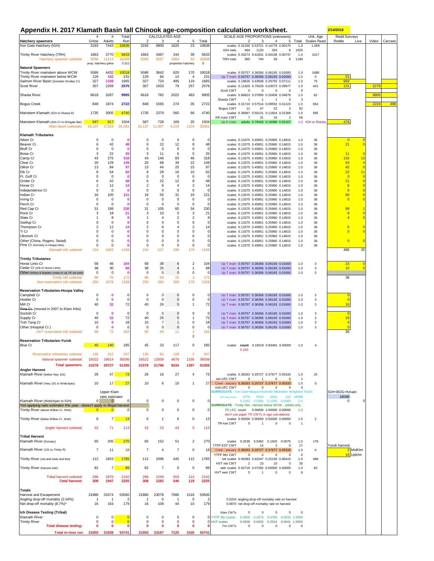#### **Appendix H. 2017 Klamath Basin fall Chinook age-composition calculation worksheet. 2/14/2018**

|                                                                                                                | $\#$                                  | $\#$                      | Total                  |                      | CALCULATED AGE       |                                    |                                  |                              | Appenuix II. 2017 Maniam Dasin Tail Onlillook age-composition calculation worksheet.<br>SCALE AGE PROPORTIONS (unknowns)<br>Unk. Age<br>Redd Surveys                                          |         |
|----------------------------------------------------------------------------------------------------------------|---------------------------------------|---------------------------|------------------------|----------------------|----------------------|------------------------------------|----------------------------------|------------------------------|-----------------------------------------------------------------------------------------------------------------------------------------------------------------------------------------------|---------|
| <b>Hatchery spawners</b>                                                                                       | Grilse                                | Adults                    | Run                    | 2                    | 3                    | $\overline{4}$                     | 5                                | Total                        | 2<br>3<br>5 Total<br>Scales Read<br>Redds<br>Live<br>Video<br>$\overline{4}$                                                                                                                  | Carcass |
| Iron Gate Hatchery (IGH)                                                                                       | 3193                                  | 7443                      | 10636                  | 3193                 | 5800                 | 1620                               | 23                               | 10636                        | scales 0.31330 0.53721 0.14778 0.00170<br>1.0<br>1,569<br>464<br>1925<br>IGH cwts<br>1120<br>333<br>8                                                                                         |         |
| Trinity River Hatchery (TRH)<br>Hatchery spawner subtotal:                                                     | 1863<br>5056<br>prop. hatchery grilse | 3770<br>11213             | 5633<br>16269<br>0.311 | 1863<br>5056         | 3487<br>9287         | 244<br>1864<br>proportion hatchery | 39<br>62                         | 5633<br>16269<br>$\mathsf 0$ | scales 0.33274 0.61831 0.04158 0.00737<br>1.0<br>1017<br>385<br>1190<br><b>TRH cwts</b><br>740<br>59<br>6                                                                                     |         |
| <b>Natural Spawners</b>                                                                                        |                                       |                           |                        |                      |                      |                                    |                                  |                              |                                                                                                                                                                                               |         |
| Trinity River mainstem above WCW<br>Trinity River mainstem below WCW                                           | 5586<br>129                           | 4432<br>102               | 10018<br>231           | 5586<br>129          | 3642<br>84           | 620<br>14                          | 170<br>$\overline{4}$            | 10018<br>231                 | scales 0.55757 0.36356 0.06193 0.01693<br>1688<br>1.0<br>51<br>Up T main 0.55757 0.36356 0.06193 0.01693<br>1.0<br>$^{\circ}$                                                                 |         |
| Salmon River Basin (includes Wooley Cr)                                                                        | 327                                   | 1338                      | 1665                   | 327                  | 724                  | 495                                | 119                              | 1665                         | 669<br>scales 0.19626 0.43508 0.29755 0.07111<br>75<br>1.0                                                                                                                                    |         |
| Scott River                                                                                                    | 307                                   | 2269                      | 2576                   | 307                  | 1933                 | 79                                 | 257                              | 2576                         | scales 0.11920 0.75029 0.03073 0.09977<br>1.0<br>441<br>131<br>2279                                                                                                                           |         |
| Shasta River                                                                                                   | 6618                                  | 3287                      | 9905                   | 6618                 | 782                  | 2022                               | 483                              | 9905                         | Scott CWT<br>$\mathbf 0$<br>$\Omega$<br>$\Omega$<br>$\Omega$<br>$^{\circ}$<br>9905<br>scales 0.66823 0.07890 0.20409 0.04878<br>1.0<br>82                                                     |         |
|                                                                                                                |                                       |                           |                        |                      |                      |                                    |                                  |                              | Shasta CWT<br>$\mathbf{3}$<br>$\overline{1}$<br>$\overline{1}$<br>$^{\circ}$<br>$\overline{1}$                                                                                                |         |
| <b>Bogus Creek</b>                                                                                             | 848                                   | 1874                      | 2722                   | 848                  | 1565                 | 274                                | 35                               | 2722                         | 2224<br>scales 0.31710 0.57514 0.09553 0.01223<br>654<br>1.0<br>82<br>Bogus CWT<br>11<br>47<br>22<br>$\overline{2}$                                                                           | 498     |
| Mainstem Klamath (IGH to Shasta R)                                                                             | 1735                                  | 3005                      | 4740                   | 1735                 | 2379                 | 560                                | 66                               | 4740                         | scales 0.36897 0.50131 0.11604 0.01368<br>1.0<br>585                                                                                                                                          |         |
| Mainstem Klamath (Ash Cr to Wingate Bar)                                                                       | 587                                   | 917                       | 1504                   | 587                  | 728                  | 169                                | 20                               | 1504                         | KR main CWT<br>56<br>7<br>31<br>16<br>$\overline{2}$<br>478<br>Up K main adults 0.79443 0.18389 0.02167<br>1.0 IGH to Shasta                                                                  |         |
| Main basin subtotals:                                                                                          | 16,137                                | 17224                     | 33,361                 | 16,137               | 11,837               | 4,233                              | 1154                             | 33361                        |                                                                                                                                                                                               |         |
|                                                                                                                |                                       |                           |                        |                      |                      |                                    |                                  |                              |                                                                                                                                                                                               |         |
| <b>Klamath Tributaries</b><br>Aiken Cr                                                                         | $\mathbf 0$                           | 0                         |                        | 0                    | $\mathbf 0$          | 0                                  | 0                                | 0                            | scales 0.13375 0.45851 0.25960 0.14815<br>36<br>$\overline{0}$<br>1.0                                                                                                                         |         |
| Beaver Cr                                                                                                      | 6                                     | 42                        | 48                     | 6                    | 22                   | 12                                 | 8                                | 48                           | 21<br>$\overline{0}$<br>scales 0.13375 0.45851 0.25960 0.14815<br>36<br>1.0                                                                                                                   |         |
| <b>Bluff Cr</b><br><b>Boise Cr</b>                                                                             | 0<br>3                                | 0<br>22                   | 25                     | 0<br>3               | $\mathbf 0$<br>11    | 0<br>6                             | 0<br>5                           | $\Omega$<br>25               | scales 0.13375 0.45851 0.25960 0.14815<br>1.0<br>36<br>11<br>scales 0.13375 0.45851 0.25960 0.14815<br>36<br>$\overline{0}$<br>1.0                                                            |         |
| Camp Cr                                                                                                        | 43                                    | 275                       | 318                    | 43                   | 146                  | 83                                 | 46                               | 318                          | 132<br>13<br>scales 0.13375 0.45851 0.25960 0.14815<br>$1.0$<br>36                                                                                                                            |         |
| Clear Cr                                                                                                       | 20                                    | 129                       | 149                    | 20                   | 68                   | 39                                 | 22                               | 149                          | 63<br>$\overline{4}$<br>scales 0.13375 0.45851 0.25960 0.14815<br>1.0<br>36<br>$\overline{0}$                                                                                                 |         |
| Dillon Cr<br>Elk Cr                                                                                            | 13<br>8                               | 84<br>54                  | 97<br>62               | 13<br>8              | 44<br>28             | 25<br>16                           | 15<br>10                         | 97<br>62                     | 42<br>scales 0.13375 0.45851 0.25960 0.14815<br>36<br>1.0<br>22<br>11<br>scales 0.13375 0.45851 0.25960 0.14815<br>36<br>1.0                                                                  |         |
| Ft. Goff Cr                                                                                                    | 0                                     | 0                         |                        | 0                    | 0                    | $\mathbf 0$                        | 0                                | $\Omega$                     | $\overline{0}$<br>$\overline{0}$<br>scales 0.13375 0.45851 0.25960 0.14815<br>1.0<br>36                                                                                                       |         |
| Grider Cr<br>Horse Cr                                                                                          | 6<br>2                                | 42<br>12                  | 14                     | 6<br>$\overline{2}$  | 22<br>6              | 12<br>$\overline{4}$               | 8<br>$\overline{2}$              | 48<br>14                     | 21<br>$\overline{0}$<br>scales 0.13375 0.45851 0.25960 0.14815<br>36<br>1.0<br>6<br>$\overline{0}$<br>scales 0.13375 0.45851 0.25960 0.14815<br>1.0<br>36                                     |         |
| Independence Cr                                                                                                | 0                                     | $\mathbf 0$               | 0                      | 0                    | $\mathbf 0$          | $\Omega$                           | $\mathsf 0$                      | $\Omega$                     | $\overline{0}$<br>$\overline{0}$<br>36<br>scales 0.13375 0.45851 0.25960 0.14815<br>1.0                                                                                                       |         |
| Indian Cr                                                                                                      | 16                                    | 105                       | 121                    | 16                   | 55                   | 31                                 | 19                               | 121                          | 50<br>scales 0.13375 0.45851 0.25960 0.14815<br>36<br>6<br>1.0                                                                                                                                |         |
| <b>Irving Cr</b><br>Perch Cr                                                                                   | 0<br>0                                | 0<br>0                    | c                      | 0<br>0               | 0<br>0               | 0<br>0                             | 0<br>$\overline{0}$              | 0<br>$\Omega$                | $\overline{0}$<br>$\overline{0}$<br>scales 0.13375 0.45851 0.25960 0.14815<br>36<br>1.0<br>scales 0.13375 0.45851 0.25960 0.14815<br>36<br>1.0                                                |         |
| Red Cap Cr                                                                                                     | 31                                    | 199                       | 230                    | 31                   | 105                  | 60                                 | 34                               | 230                          | 99<br>scales 0.13375 0.45851 0.25960 0.14815<br>36<br>1.0                                                                                                                                     |         |
| Rock Cr<br>Slate Cr                                                                                            | 3<br>$\mathbf{1}$                     | 18<br>8                   | 21                     | 3                    | 10<br>$\overline{4}$ | 5<br>2                             | 3<br>$\overline{2}$              | 21<br>-9                     | 9<br>scales 0.13375 0.45851 0.25960 0.14815<br>1.0<br>36<br>$\overline{0}$<br>$\overline{4}$<br>$\overline{0}$<br>scales 0.13375 0.45851 0.25960 0.14815<br>36<br>1.0                         |         |
| Swillup Cr                                                                                                     | $\mathbf 0$                           | 0                         |                        | $\mathbf 0$          | $\mathbf 0$          | 0                                  | 0                                | 0                            | scales 0.13375 0.45851 0.25960 0.14815<br>1.0<br>36                                                                                                                                           |         |
| Thompson Cr                                                                                                    | $\overline{\mathbf{c}}$               | 12                        | 14                     | $\overline{2}$       | 6                    | 4                                  | $\overline{2}$                   | 14                           | 6<br>scales 0.13375 0.45851 0.25960 0.14815<br>36<br>$\overline{0}$<br>1.0                                                                                                                    |         |
| Ti Cr<br>Ukonom Cr                                                                                             | 0<br>0                                | 0<br>0                    |                        | $\Omega$<br>$\Omega$ | 0<br>0               | 0<br>0                             | 0<br>0                           | 0<br>$\mathbf 0$             | $\overline{0}$<br>$\overline{0}$<br>scales 0.13375 0.45851 0.25960 0.14815<br>1.0<br>36<br>scales 0.13375 0.45851 0.25960 0.14815<br>1.0<br>36                                                |         |
| Other (China, Rogers, Seiad)                                                                                   | 0                                     | 0                         | 0                      | $\mathbf 0$          | 0                    | 0                                  | 0                                | $\mathbf 0$                  | $\overline{0}$<br>$\overline{0}$<br>scales 0.13375 0.45851 0.25960 0.14815<br>1.0<br>36                                                                                                       |         |
| Pine Cr (formerly in Hoopa tribs)<br>Klamath trib subtotal:                                                    | $\mathbf 0$<br>154                    | $\mathbf 0$<br>1002       | O<br>1156              | $\Omega$<br>154      | $\mathbf 0$<br>527   | 0<br>299                           | $\mathsf 0$<br>176               | $\Omega$<br>1156             | scales 0.13375 0.45851 0.25960 0.14815<br>36<br>1.0<br>35<br>486                                                                                                                              |         |
|                                                                                                                |                                       |                           |                        |                      |                      |                                    |                                  |                              |                                                                                                                                                                                               |         |
| <b>Trinity Tributaries</b><br>Horse Linto Cr                                                                   | 58                                    | 46                        | 104                    | 58                   | 38                   | 6                                  | $\overline{2}$                   | 104                          | 23<br>Up T main 0.55757 0.36356 0.06193 0.01693<br>1.0<br>3<br>$\mathbf{0}$                                                                                                                   |         |
| Cedar Cr (trib to Horse Linto)                                                                                 | 38                                    | 30                        | 68                     | 38                   | 25                   | 4                                  | 1                                | 68                           | 15<br>$\overline{0}$<br>Up T main 0.55757 0.36356 0.06193 0.01693<br>1.0<br>$\mathbf{3}$                                                                                                      |         |
| Other (Willow & Madden creeks in Up TR nat estim)<br>Trinity trib subtotal:                                    | 0<br>96                               | 0<br>76                   | - 0<br>172             | 0<br>96              | 0<br>63              | 0<br>10                            | 0<br>3                           | 0<br>172                     | Up T main 0.55757 0.36356 0.06193 0.01693<br>1.0<br>3<br>38                                                                                                                                   |         |
| Non-reservation trib subtotal:                                                                                 | 250                                   | 1078                      | 1328                   | 250                  | 590                  | 309                                | 179                              | 1328                         |                                                                                                                                                                                               |         |
| <b>Reservation Tributaries-Hoopa Valley</b>                                                                    |                                       |                           |                        |                      |                      |                                    |                                  |                              |                                                                                                                                                                                               |         |
| Campbell Cr                                                                                                    | 0                                     | $\mathbf{0}$              | $\mathbf 0$            | 0                    | $\mathbf 0$          | $\mathsf{O}\xspace$                | $\mathsf 0$                      | 0                            | Up T main 0.55757 0.36356 0.06193 0.01693<br>$\mathbf{3}$<br>1.0                                                                                                                              |         |
| <b>Hostler Cr</b><br>Mill Cr                                                                                   | 0<br>40                               | $\mathbf 0$<br>32         | $\Omega$<br>72         | 0<br>40              | $\mathbf 0$<br>26    | 0<br>5                             | 0<br>1                           | $\Omega$<br>72               | $\Omega$<br>Up T main 0.55757 0.36356 0.06193 0.01693<br>1.0<br>3<br>Up T main 0.55757 0.36356 0.06193 0.01693<br>1.0<br>3<br>16                                                              |         |
| Pine Gr. (moved in 2007 to Klam tribs)                                                                         |                                       |                           |                        |                      |                      |                                    |                                  |                              |                                                                                                                                                                                               |         |
| Soctish Cr                                                                                                     | $\mathbf 0$<br>40                     | $\mathbf{0}$              | $\Omega$<br>72         | $\mathbf 0$<br>40    | $\mathbf 0$          | $\mathbf 0$<br>5                   | $\mathbf 0$<br>1                 | $\Omega$                     | Up T main 0.55757 0.36356 0.06193 0.01693<br>$\Omega$<br>1.0<br>3<br>16                                                                                                                       |         |
| Supply Cr<br>Tish Tang Cr                                                                                      | 10                                    | 32<br>8                   | 18                     | 10                   | 26<br>$\overline{7}$ | $\mathbf{1}$                       | 0                                | 72<br>18                     | Up T main 0.55757 0.36356 0.06193 0.01693<br>$\mathbf{3}$<br>1.0<br>Up T main 0.55757 0.36356 0.06193 0.01693<br>1.0<br>3<br>$\overline{4}$                                                   |         |
| Other (Hospital Cr.)                                                                                           | 0                                     | $\mathbf{0}$              | $\Omega$               | 0                    | 0                    | 0                                  | 0                                | $\Omega$                     | $\overline{0}$<br>Up T main 0.55757 0.36356 0.06193 0.01693<br>1.0<br>3                                                                                                                       |         |
| HVT reservation trib subtotal:                                                                                 | 90                                    | 72                        | 162                    | 90                   | 59                   | 11                                 | $\overline{2}$<br>$\overline{2}$ | 162                          | 36                                                                                                                                                                                            |         |
| <b>Reservation Tributaries-Yurok</b><br><b>Blue Cr</b>                                                         | 45                                    | 140                       | 185                    | 45                   | 23                   | 117                                | 0                                | 185                          | scales count 0.16519 0.83481 0.00000<br>$\overline{4}$<br>1.0                                                                                                                                 |         |
|                                                                                                                |                                       |                           |                        |                      |                      |                                    |                                  |                              | 0.243                                                                                                                                                                                         |         |
| <b>Reservation tributaries subtotal.</b>                                                                       | 135<br>16522                          | 212<br>18514              | 347<br>35036           | 135<br>16522         | 82<br>12509          | 128<br>4670                        | $\overline{2}$<br>1335           | 347<br>35036                 |                                                                                                                                                                                               |         |
| Natural spawner subtotal:<br><b>Total spawners:</b>                                                            | 21578                                 | 29727                     | 51305                  | 21578                | 21796                | 6534                               | 1397                             | 51305                        |                                                                                                                                                                                               |         |
| <b>Angler Harvest</b>                                                                                          |                                       |                           |                        |                      |                      |                                    |                                  |                              |                                                                                                                                                                                               |         |
| Klamath River (below Hwy 101)                                                                                  | 26                                    | 47                        | 73                     | 26                   | 16                   | 27                                 | 4                                | 73                           | scales 0.36263 0.20727 0.37677 0.05333<br>25<br>1.0<br>est-LRC CWT<br>$\mathbf 0$<br>$\mathbf{1}$<br>$\Omega$<br>$\Omega$<br>$\overline{1}$                                                   |         |
| Klamath River (Hwy 101 to Weitchpec)                                                                           | 10                                    | 17                        | 27                     | 10                   | 6                    | 10                                 | 1                                | 27                           | Creel - estuary 0.36263 0.20727 0.37677 0.05333<br>1.0<br>$\mathsf 0$                                                                                                                         |         |
|                                                                                                                |                                       | Upper Klam                |                        |                      |                      |                                    |                                  |                              | mid-LRC CWT<br>$\Omega$<br>$\Omega$<br>$\Omega$<br>$\Omega$<br>$\Omega$<br><b>SURROGATE</b> - Iron Gate+Bogus+Klamath Mainstem Weighted Totals<br>IGH+BOG+Kmain                               |         |
|                                                                                                                |                                       | ratio estimator           |                        |                      |                      |                                    |                                  |                              | 18098<br>9744<br>2454<br>124 18098<br>5776                                                                                                                                                    |         |
| Klamath River (Weitchpec to IGH)<br>*not applying ratio estimator this year - doesn't apply to illegal harvest | $\Omega$                              | $\mathbf 0$               | $\Omega$               | $\Omega$             | $\mathbf 0$          | 0                                  | $\mathsf 0$                      | 0                            | 0.3192 0.5384 0.1356 0.0069<br>$\Omega$<br>O<br>1.0<br><b>SURROGATE</b> - Trinity Rec. Harvest below WCW - adults only                                                                        |         |
| Trinity River (above Willow Cr. Weir)                                                                          | $\mathbf{0}$                          | $\overline{0}$            |                        | 0                    | $\pmb{0}$            | 0                                  | 0                                | 0                            | TR LRC count 0.00000 1.00000 0.00000<br>1.0                                                                                                                                                   |         |
| Trinity River (below Willow Cr. Weir)                                                                          | 6                                     | 7 <sup>1</sup>            | 13                     | 6                    | $\overline{1}$       | 6                                  | 0                                | 13                           | don't use paper TR CWTs in age calculations<br>scales 0.50000 0.00000 0.50000 0.00000<br>1.0<br>$\overline{2}$                                                                                |         |
|                                                                                                                |                                       |                           |                        |                      |                      |                                    |                                  |                              | TR-low CWT<br>$^{\circ}$<br>$\mathbf{1}$<br>$^{\circ}$<br>$^{\circ}$<br>$\overline{1}$                                                                                                        |         |
| Angler harvest subtotal:                                                                                       | 42                                    | 71                        | 113                    | 42                   | 23                   | 43                                 | 5                                | 113                          |                                                                                                                                                                                               |         |
| <b>Tribal Harvest</b><br>Klamath River (Estuary)                                                               | 65                                    | 205                       | 270                    | 65                   | 152                  | 51                                 | $\overline{c}$                   | 270                          | 0.2538  0.5462  0.1925  0.0075<br>178<br>scales<br>1.0                                                                                                                                        |         |
|                                                                                                                |                                       |                           |                        |                      |                      |                                    |                                  |                              | YTFP EST CWT<br>17<br>Yurok harvest<br>$\mathbf{1}$<br>14<br>$\overline{2}$<br>0                                                                                                              |         |
| Klamath River (101 to Trinity R)                                                                               | $\overline{7}$                        | 11                        | 18                     | $\overline{7}$       | $\overline{4}$       | $\overline{7}$                     | $\mathsf 0$                      | 18                           | MidKlm<br>Creel - estuary 0.36263 0.20727 0.37677 0.05333<br>1.0<br>$\mathsf 0$<br>$\overline{2}$<br>16 UpKlm<br>YTFP MU CWT<br>$\mathbf 0$<br>$^{\circ}$<br>$\Omega$<br>$\Omega$<br>$\Omega$ |         |
| Trinity River (net and hook-and-line)                                                                          | 112                                   | 1653                      | 1765                   | 112                  | 1096                 | 445                                | 112                              | 1765                         | 468<br>net scales 0.06383 0.62047 0.25159 0.06410<br>1.0<br>HVT net CWT<br>$\overline{2}$<br>23<br>35<br>10<br>$^{\circ}$                                                                     |         |
| Trinity River (harvest weir)                                                                                   | 82                                    | $\overline{\mathfrak{c}}$ | 89                     | 82                   | $\overline{7}$       | 0                                  | 0                                | 89                           | weir scales 0.92718 0.07282 0.00000 0.00000<br>1.0<br>83                                                                                                                                      |         |
| Tribal harvest subtotal:                                                                                       | 266                                   | 1876                      | 2142                   | 266                  | 1259                 | 503                                | 114                              | 2142                         | HVT weir CWT<br>5<br>$\Omega$<br>$\Omega$<br>6<br>$\overline{1}$                                                                                                                              |         |
| <b>Total harvest:</b>                                                                                          | 308                                   | 1947                      | 2255                   | 308                  | 1282                 | 546                                | 119                              | 2255                         |                                                                                                                                                                                               |         |
| <b>Totals</b>                                                                                                  |                                       |                           |                        |                      |                      |                                    |                                  |                              |                                                                                                                                                                                               |         |
| Harvest and Escapement<br>Angling drop-off mortality (2.04%)                                                   | 21886<br>-1                           | 31674<br>-1               | 53560<br>2             | 21886<br>-1          | 23078<br>0           | 7080<br>-1                         | 1516<br>0                        | 53560<br>2                   | 0.0204 angling drop-off mortality rate on harvest                                                                                                                                             |         |
| Net drop-off mortality (8.7%)*                                                                                 | 16                                    | 163                       | 179                    | 16                   | 109                  | 44                                 | 10                               | 179                          | 0.0870 net drop-off mortality rate on harvest                                                                                                                                                 |         |
| Ich Disease Testing (Tribal)                                                                                   |                                       |                           |                        |                      |                      |                                    |                                  |                              | Klam CWTs<br>$\circ$<br>$\mathbf 0$<br>$\circ$<br>$\mathbf 0$<br>$^{\circ}$                                                                                                                   |         |
| Klamath River                                                                                                  | 0                                     | $\mathbf 0$               | $\Omega$               | $\Omega$             | $\mathbf 0$          | $\mathbf 0$                        | $\mathbf 0$                      | $\Omega$                     | <b>YTFP MU scales</b><br>0.2073<br>0.3626<br>0.3768<br>0.0533<br>1.0000                                                                                                                       |         |
| <b>Trinity River</b><br><b>Total disease testing:</b>                                                          | 0<br>0                                | 0<br>0                    | $\Omega$<br>n          | $\Omega$<br>0        | $\mathbf 0$<br>0     | 0<br>0                             | 0<br>0                           | n                            | 0 HVT scales<br>0.0638<br>0.6205<br>0.2516<br>0.0641 1.0000<br>Trin CWTs<br>0<br>$\mathbf 0$<br>$\circ$<br>$\mathbf 0$<br>$^{\circ}$                                                          |         |
| Total in-river run                                                                                             | 21903                                 | 31838                     | 53741                  | 21903                | 23187                | 7125                               | 1526                             | 53741                        |                                                                                                                                                                                               |         |